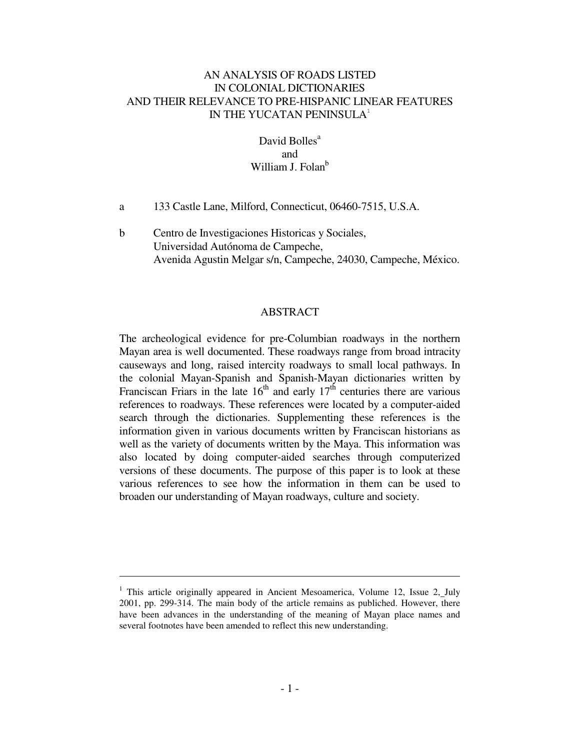# AN ANALYSIS OF ROADS LISTED IN COLONIAL DICTIONARIES AND THEIR RELEVANCE TO PRE-HISPANIC LINEAR FEATURES IN THE YUCATAN PENINSULA<sup>1</sup>

# David Bolles<sup>a</sup> and William J. Folan<sup>b</sup>

- a 133 Castle Lane, Milford, Connecticut, 06460-7515, U.S.A.
- b Centro de Investigaciones Historicas y Sociales, Universidad Autónoma de Campeche, Avenida Agustin Melgar s/n, Campeche, 24030, Campeche, México.

# ABSTRACT

The archeological evidence for pre-Columbian roadways in the northern Mayan area is well documented. These roadways range from broad intracity causeways and long, raised intercity roadways to small local pathways. In the colonial Mayan-Spanish and Spanish-Mayan dictionaries written by Franciscan Friars in the late  $16<sup>th</sup>$  and early  $17<sup>th</sup>$  centuries there are various references to roadways. These references were located by a computer-aided search through the dictionaries. Supplementing these references is the information given in various documents written by Franciscan historians as well as the variety of documents written by the Maya. This information was also located by doing computer-aided searches through computerized versions of these documents. The purpose of this paper is to look at these various references to see how the information in them can be used to broaden our understanding of Mayan roadways, culture and society.

 $\overline{a}$ 

<sup>&</sup>lt;sup>1</sup> This article originally appeared in Ancient Mesoamerica, Volume 12, Issue 2, July 2001, pp. 299-314. The main body of the article remains as publiched. However, there have been advances in the understanding of the meaning of Mayan place names and several footnotes have been amended to reflect this new understanding.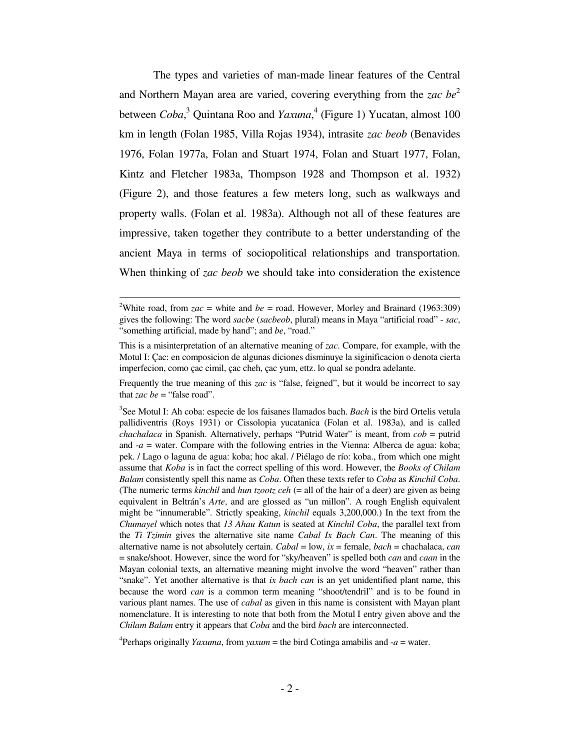The types and varieties of man-made linear features of the Central and Northern Mayan area are varied, covering everything from the *zac be*<sup>2</sup> between *Coba*, 3 Quintana Roo and *Yaxuna*, 4 (Figure 1) Yucatan, almost 100 km in length (Folan 1985, Villa Rojas 1934), intrasite *zac beob* (Benavides 1976, Folan 1977a, Folan and Stuart 1974, Folan and Stuart 1977, Folan, Kintz and Fletcher 1983a, Thompson 1928 and Thompson et al. 1932) (Figure 2), and those features a few meters long, such as walkways and property walls. (Folan et al. 1983a). Although not all of these features are impressive, taken together they contribute to a better understanding of the ancient Maya in terms of sociopolitical relationships and transportation. When thinking of *zac beob* we should take into consideration the existence

 $\overline{a}$ 

Frequently the true meaning of this *zac* is "false, feigned", but it would be incorrect to say that *zac* be = "false road".

3 See Motul I: Ah coba: especie de los faisanes llamados bach. *Bach* is the bird Ortelis vetula pallidiventris (Roys 1931) or Cissolopia yucatanica (Folan et al. 1983a), and is called *chachalaca* in Spanish. Alternatively, perhaps "Putrid Water" is meant, from *cob* = putrid and  $-a$  = water. Compare with the following entries in the Vienna: Alberca de agua: koba; pek. / Lago o laguna de agua: koba; hoc akal. / Piélago de río: koba., from which one might assume that *Koba* is in fact the correct spelling of this word. However, the *Books of Chilam Balam* consistently spell this name as *Coba*. Often these texts refer to *Coba* as *Kinchil Coba*. (The numeric terms *kinchil* and *hun tzootz ceh* (= all of the hair of a deer) are given as being equivalent in Beltrán's *Arte*, and are glossed as "un millon". A rough English equivalent might be "innumerable". Strictly speaking, *kinchil* equals 3,200,000.) In the text from the *Chumayel* which notes that *13 Ahau Katun* is seated at *Kinchil Coba*, the parallel text from the *Ti Tzimin* gives the alternative site name *Cabal Ix Bach Can*. The meaning of this alternative name is not absolutely certain. *Cabal* = low, *ix* = female, *bach* = chachalaca, *can* = snake/shoot. However, since the word for "sky/heaven" is spelled both *can* and *caan* in the Mayan colonial texts, an alternative meaning might involve the word "heaven" rather than "snake". Yet another alternative is that *ix bach can* is an yet unidentified plant name, this because the word *can* is a common term meaning "shoot/tendril" and is to be found in various plant names. The use of *cabal* as given in this name is consistent with Mayan plant nomenclature. It is interesting to note that both from the Motul I entry given above and the *Chilam Balam* entry it appears that *Coba* and the bird *bach* are interconnected.

<sup>4</sup> Perhaps originally *Yaxuma*, from *yaxum* = the bird Cotinga amabilis and  $-a$  = water.

<sup>&</sup>lt;sup>2</sup>White road, from  $zac$  = white and *be* = road. However, Morley and Brainard (1963:309) gives the following: The word *sacbe* (*sacbeob*, plural) means in Maya "artificial road" - *sac*, "something artificial, made by hand"; and *be*, "road."

This is a misinterpretation of an alternative meaning of *zac*. Compare, for example, with the Motul I: Çac: en composicion de algunas diciones disminuye la siginificacion o denota cierta imperfecion, como çac cimil, çac cheh, çac yum, ettz. lo qual se pondra adelante.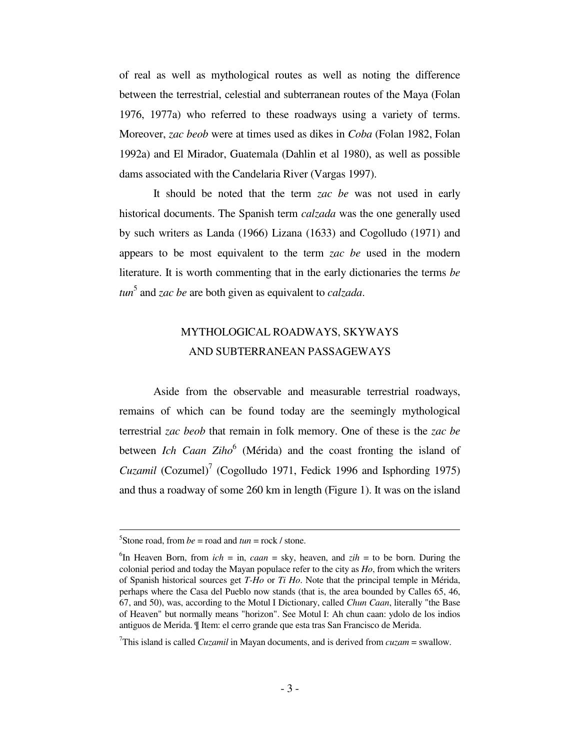of real as well as mythological routes as well as noting the difference between the terrestrial, celestial and subterranean routes of the Maya (Folan 1976, 1977a) who referred to these roadways using a variety of terms. Moreover, *zac beob* were at times used as dikes in *Coba* (Folan 1982, Folan 1992a) and El Mirador, Guatemala (Dahlin et al 1980), as well as possible dams associated with the Candelaria River (Vargas 1997).

 It should be noted that the term *zac be* was not used in early historical documents. The Spanish term *calzada* was the one generally used by such writers as Landa (1966) Lizana (1633) and Cogolludo (1971) and appears to be most equivalent to the term *zac be* used in the modern literature. It is worth commenting that in the early dictionaries the terms *be tun*<sup>5</sup> and *zac be* are both given as equivalent to *calzada*.

# MYTHOLOGICAL ROADWAYS, SKYWAYS AND SUBTERRANEAN PASSAGEWAYS

 Aside from the observable and measurable terrestrial roadways, remains of which can be found today are the seemingly mythological terrestrial *zac beob* that remain in folk memory. One of these is the *zac be* between *Ich Caan Ziho*<sup>6</sup> (Mérida) and the coast fronting the island of Cuzamil (Cozumel)<sup>7</sup> (Cogolludo 1971, Fedick 1996 and Isphording 1975) and thus a roadway of some 260 km in length (Figure 1). It was on the island

<sup>&</sup>lt;sup>5</sup>Stone road, from  $be =$  road and  $tun =$  rock / stone.

<sup>&</sup>lt;sup>6</sup>In Heaven Born, from  $ich = in$ , *caan* = sky, heaven, and  $zih =$  to be born. During the colonial period and today the Mayan populace refer to the city as *Ho*, from which the writers of Spanish historical sources get *T-Ho* or *Ti Ho*. Note that the principal temple in Mérida, perhaps where the Casa del Pueblo now stands (that is, the area bounded by Calles 65, 46, 67, and 50), was, according to the Motul I Dictionary, called *Chun Caan*, literally "the Base of Heaven" but normally means "horizon". See Motul I: Ah chun caan: ydolo de los indios antiguos de Merida. ¶ Item: el cerro grande que esta tras San Francisco de Merida.

<sup>7</sup>This island is called *Cuzamil* in Mayan documents, and is derived from *cuzam* = swallow.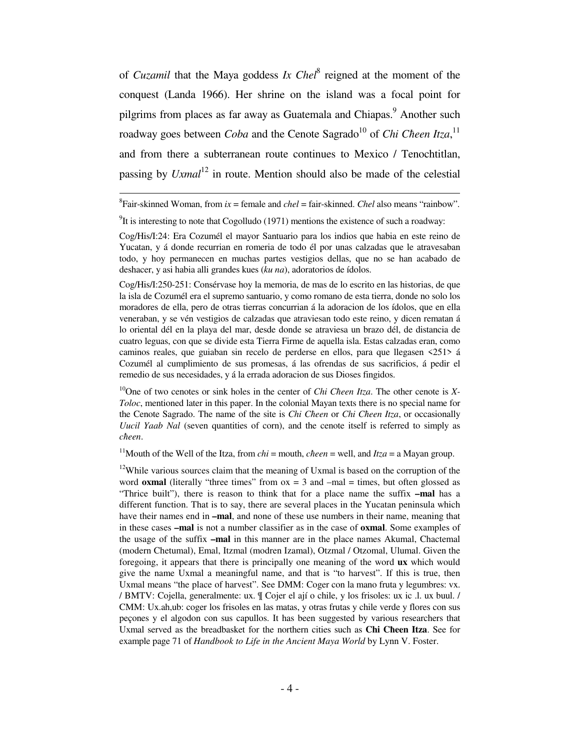of *Cuzamil* that the Maya goddess *Ix Chel*<sup>8</sup> reigned at the moment of the conquest (Landa 1966). Her shrine on the island was a focal point for pilgrims from places as far away as Guatemala and Chiapas.<sup>9</sup> Another such roadway goes between *Coba* and the Cenote Sagrado<sup>10</sup> of *Chi Cheen Itza*,<sup>11</sup> and from there a subterranean route continues to Mexico / Tenochtitlan, passing by *Uxmal*<sup>12</sup> in route. Mention should also be made of the celestial

 ${}^{8}$ Fair-skinned Woman, from  $ix =$  female and *chel* = fair-skinned. *Chel* also means "rainbow".

į.

Cog/His/I:250-251: Consérvase hoy la memoria, de mas de lo escrito en las historias, de que la isla de Cozumél era el supremo santuario, y como romano de esta tierra, donde no solo los moradores de ella, pero de otras tierras concurrian á la adoracion de los ídolos, que en ella veneraban, y se vén vestigios de calzadas que atraviesan todo este reino, y dicen rematan á lo oriental dél en la playa del mar, desde donde se atraviesa un brazo dél, de distancia de cuatro leguas, con que se divide esta Tierra Firme de aquella isla. Estas calzadas eran, como caminos reales, que guiaban sin recelo de perderse en ellos, para que llegasen <251> á Cozumél al cumplimiento de sus promesas, á las ofrendas de sus sacrificios, á pedir el remedio de sus necesidades, y á la errada adoracion de sus Dioses fingidos.

<sup>10</sup>One of two cenotes or sink holes in the center of *Chi Cheen Itza*. The other cenote is *X*-*Toloc*, mentioned later in this paper. In the colonial Mayan texts there is no special name for the Cenote Sagrado. The name of the site is *Chi Cħeen* or *Chi Cħeen Itza*, or occasionally *Uucil Yaab Nal* (seven quantities of corn), and the cenote itself is referred to simply as *cħeen*.

<sup>11</sup>Mouth of the Well of the Itza, from *chi* = mouth, *cheen* = well, and *Itza* = a Mayan group.

 $12$ While various sources claim that the meaning of Uxmal is based on the corruption of the word **oxmal** (literally "three times" from  $ox = 3$  and  $-mal =$  times, but often glossed as "Thrice built"), there is reason to think that for a place name the suffix **–mal** has a different function. That is to say, there are several places in the Yucatan peninsula which have their names end in **–mal**, and none of these use numbers in their name, meaning that in these cases **–mal** is not a number classifier as in the case of **oxmal**. Some examples of the usage of the suffix **–mal** in this manner are in the place names Akumal, Chactemal (modern Chetumal), Emal, Itzmal (modren Izamal), Otzmal / Otzomal, Ulumal. Given the foregoing, it appears that there is principally one meaning of the word **ux** which would give the name Uxmal a meaningful name, and that is "to harvest". If this is true, then Uxmal means "the place of harvest". See DMM: Coger con la mano fruta y legumbres: vx. / BMTV: Cojella, generalmente: ux. ¶ Cojer el ají o chile, y los frisoles: ux ic .l. ux buul. / CMM: Ux.ah,ub: coger los frisoles en las matas, y otras frutas y chile verde y flores con sus peçones y el algodon con sus capullos. It has been suggested by various researchers that Uxmal served as the breadbasket for the northern cities such as **Chi Cħeen Itza**. See for example page 71 of *Handbook to Life in the Ancient Maya World* by Lynn V. Foster.

 $9$ It is interesting to note that Cogolludo (1971) mentions the existence of such a roadway:

Cog/His/I:24: Era Cozumél el mayor Santuario para los indios que habia en este reino de Yucatan, y á donde recurrian en romeria de todo él por unas calzadas que le atravesaban todo, y hoy permanecen en muchas partes vestigios dellas, que no se han acabado de deshacer, y asi habia alli grandes kues (*ku na*), adoratorios de ídolos.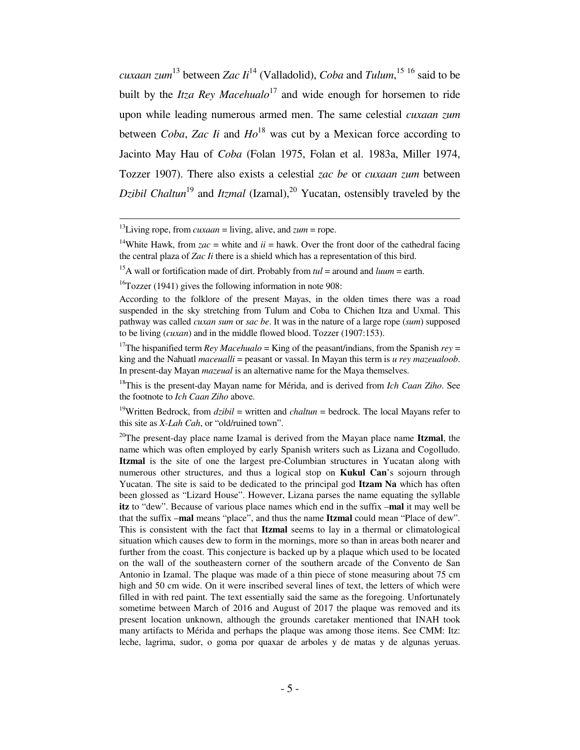*cuxaan zum* <sup>13</sup> between *Zac Ii*<sup>14</sup> (Valladolid), *Coba* and *Tulum*, <sup>15</sup> <sup>16</sup> said to be built by the *Itza Rey Macehualo*<sup>17</sup> and wide enough for horsemen to ride upon while leading numerous armed men. The same celestial *cuxaan zum* between *Coba*, *Zac Ii* and *Ho*<sup>18</sup> was cut by a Mexican force according to Jacinto May Hau of *Coba* (Folan 1975, Folan et al. 1983a, Miller 1974, Tozzer 1907). There also exists a celestial *zac be* or *cuxaan zum* between *Dzibil Chaltun*<sup>19</sup> and *Itzmal* (Izamal),<sup>20</sup> Yucatan, ostensibly traveled by the

į.

<sup>19</sup>Written Bedrock, from  $dzibil$  = written and *chaltun* = bedrock. The local Mayans refer to this site as *X-Lah Cah*, or "old/ruined town".

<sup>20</sup>The present-day place name Izamal is derived from the Mayan place name **Itzmal**, the name which was often employed by early Spanish writers such as Lizana and Cogolludo. **Itzmal** is the site of one the largest pre-Columbian structures in Yucatan along with numerous other structures, and thus a logical stop on **Kukul Can**'s sojourn through Yucatan. The site is said to be dedicated to the principal god **Itzam Na** which has often been glossed as "Lizard House". However, Lizana parses the name equating the syllable **itz** to "dew". Because of various place names which end in the suffix –**mal** it may well be that the suffix –**mal** means "place", and thus the name **Itzmal** could mean "Place of dew". This is consistent with the fact that **Itzmal** seems to lay in a thermal or climatological situation which causes dew to form in the mornings, more so than in areas both nearer and further from the coast. This conjecture is backed up by a plaque which used to be located on the wall of the southeastern corner of the southern arcade of the Convento de San Antonio in Izamal. The plaque was made of a thin piece of stone measuring about 75 cm high and 50 cm wide. On it were inscribed several lines of text, the letters of which were filled in with red paint. The text essentially said the same as the foregoing. Unfortunately sometime between March of 2016 and August of 2017 the plaque was removed and its present location unknown, although the grounds caretaker mentioned that INAH took many artifacts to Mérida and perhaps the plaque was among those items. See CMM: Itz: leche, lagrima, sudor, o goma por quaxar de arboles y de matas y de algunas yeruas.

<sup>&</sup>lt;sup>13</sup>Living rope, from *cuxaan* = living, alive, and  $zum =$  rope.

<sup>&</sup>lt;sup>14</sup>White Hawk, from  $zac$  = white and  $ii$  = hawk. Over the front door of the cathedral facing the central plaza of *Zac Ii* there is a shield which has a representation of this bird.

<sup>&</sup>lt;sup>15</sup>A wall or fortification made of dirt. Probably from  $tul =$  around and  $luum =$  earth.

 $16T$ ozzer (1941) gives the following information in note 908:

According to the folklore of the present Mayas, in the olden times there was a road suspended in the sky stretching from Tulum and Coba to Chichen Itza and Uxmal. This pathway was called *cuxan sum* or *sac be*. It was in the nature of a large rope (*sum*) supposed to be living (*cuxan*) and in the middle flowed blood. Tozzer (1907:153).

<sup>&</sup>lt;sup>17</sup>The hispanified term *Rey Macehualo* = King of the peasant/indians, from the Spanish  $rev =$ king and the Nahuatl *maceualli* = peasant or vassal. In Mayan this term is *u rey mazeualoob*. In present-day Mayan *mazeual* is an alternative name for the Maya themselves.

<sup>18</sup>This is the present-day Mayan name for Mérida, and is derived from *Ich Caan Ziho*. See the footnote to *Ich Caan Ziho* above.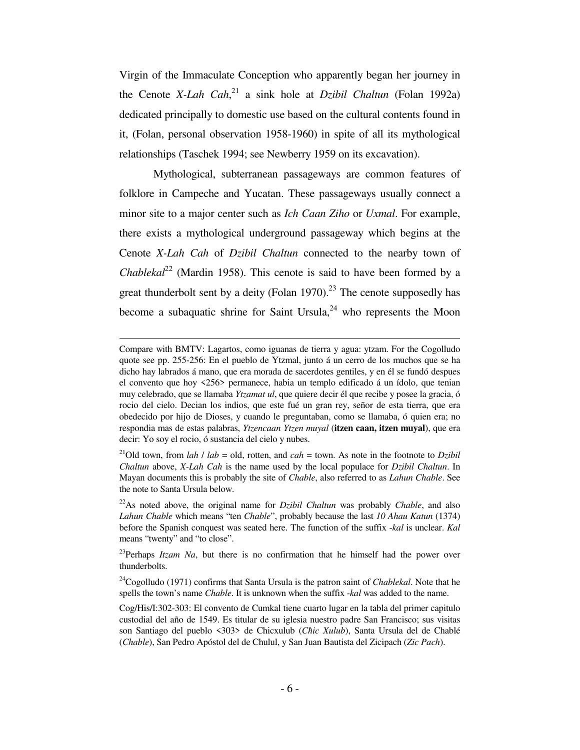Virgin of the Immaculate Conception who apparently began her journey in the Cenote *X-Lah Cah*, <sup>21</sup> a sink hole at *Dzibil Chaltun* (Folan 1992a) dedicated principally to domestic use based on the cultural contents found in it, (Folan, personal observation 1958-1960) in spite of all its mythological relationships (Taschek 1994; see Newberry 1959 on its excavation).

 Mythological, subterranean passageways are common features of folklore in Campeche and Yucatan. These passageways usually connect a minor site to a major center such as *Ich Caan Ziho* or *Uxmal*. For example, there exists a mythological underground passageway which begins at the Cenote *X-Lah Cah* of *Dzibil Chaltun* connected to the nearby town of *Chablekal*<sup>22</sup> (Mardin 1958). This cenote is said to have been formed by a great thunderbolt sent by a deity (Folan 1970).<sup>23</sup> The cenote supposedly has become a subaquatic shrine for Saint Ursula, $^{24}$  who represents the Moon

 $\overline{a}$ 

Compare with BMTV: Lagartos, como iguanas de tierra y agua: ytzam. For the Cogolludo quote see pp. 255-256: En el pueblo de Ytzmal, junto á un cerro de los muchos que se ha dicho hay labrados á mano, que era morada de sacerdotes gentiles, y en él se fundó despues el convento que hoy <256> permanece, habia un templo edificado á un ídolo, que tenian muy celebrado, que se llamaba *Ytzamat ul*, que quiere decir él que recibe y posee la gracia, ó rocio del cielo. Decian los indios, que este fué un gran rey, señor de esta tierra, que era obedecido por hijo de Dioses, y cuando le preguntaban, como se llamaba, ó quien era; no respondia mas de estas palabras, *Ytzencaan Ytzen muyal* (**itzen caan, itzen muyal**), que era decir: Yo soy el rocio, ó sustancia del cielo y nubes.

<sup>&</sup>lt;sup>21</sup>Old town, from *lah* / *lab* = old, rotten, and *cah* = town. As note in the footnote to *Dzibil Chaltun* above, *X-Lah Cah* is the name used by the local populace for *Dzibil Chaltun*. In Mayan documents this is probably the site of *Chable*, also referred to as *Lahun Chable*. See the note to Santa Ursula below.

<sup>22</sup>As noted above, the original name for *Dzibil Chaltun* was probably *Chable*, and also *Lahun Chable* which means "ten *Chable*", probably because the last *10 Ahau Katun* (1374) before the Spanish conquest was seated here. The function of the suffix -*kal* is unclear. *Kal* means "twenty" and "to close".

 $2^{23}$ Perhaps *Itzam Na*, but there is no confirmation that he himself had the power over thunderbolts.

<sup>24</sup>Cogolludo (1971) confirms that Santa Ursula is the patron saint of *Chablekal*. Note that he spells the town's name *Chable*. It is unknown when the suffix -*kal* was added to the name.

Cog/His/I:302-303: El convento de Cumkal tiene cuarto lugar en la tabla del primer capitulo custodial del año de 1549. Es titular de su iglesia nuestro padre San Francisco; sus visitas son Santiago del pueblo <303> de Chicxulub (*Cħic Xulub*), Santa Ursula del de Chablé (*Chable*), San Pedro Apóstol del de Chulul, y San Juan Bautista del Zicipach (*Zic Pach*).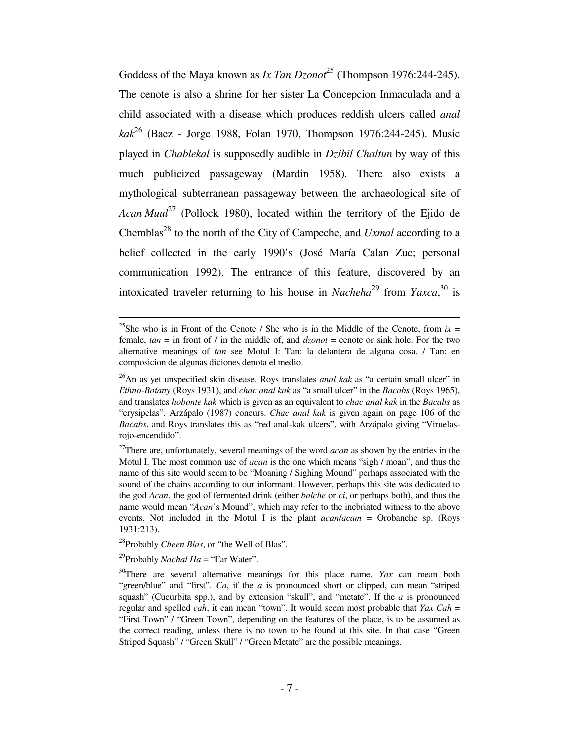Goddess of the Maya known as *Ix Tan Dzonot*<sup>25</sup> (Thompson 1976:244-245). The cenote is also a shrine for her sister La Concepcion Inmaculada and a child associated with a disease which produces reddish ulcers called *anal kak*<sup>26</sup> (Baez - Jorge 1988, Folan 1970, Thompson 1976:244-245). Music played in *Chablekal* is supposedly audible in *Dzibil Chaltun* by way of this much publicized passageway (Mardin 1958). There also exists a mythological subterranean passageway between the archaeological site of *Acan Muul*<sup>27</sup> (Pollock 1980), located within the territory of the Ejido de Chemblas<sup>28</sup> to the north of the City of Campeche, and *Uxmal* according to a belief collected in the early 1990's (José María Calan Zuc; personal communication 1992). The entrance of this feature, discovered by an intoxicated traveler returning to his house in *Nacheha*<sup>29</sup> from *Yaxca*,<sup>30</sup> is

<sup>28</sup>Probably *Cħeen Blas*, or "the Well of Blas".

<sup>29</sup>Probably *Nachal Ha* = "Far Water".

<sup>&</sup>lt;sup>25</sup>She who is in Front of the Cenote / She who is in the Middle of the Cenote, from  $ix =$ female,  $tan =$  in front of  $/$  in the middle of, and  $dz$ *onot* = cenote or sink hole. For the two alternative meanings of *tan* see Motul I: Tan: la delantera de alguna cosa. / Tan: en composicion de algunas diciones denota el medio.

<sup>26</sup>An as yet unspecified skin disease. Roys translates *anal kak* as "a certain small ulcer" in *Ethno-Botany* (Roys 1931), and *chac anal kak* as "a small ulcer" in the *Bacabs* (Roys 1965), and translates *hobonte kak* which is given as an equivalent to *chac anal kak* in the *Bacabs* as "erysipelas". Arzápalo (1987) concurs. *Chac anal kak* is given again on page 106 of the *Bacabs*, and Roys translates this as "red anal-kak ulcers", with Arzápalo giving "Viruelasrojo-encendido".

<sup>&</sup>lt;sup>27</sup>There are, unfortunately, several meanings of the word *acan* as shown by the entries in the Motul I. The most common use of *acan* is the one which means "sigh / moan", and thus the name of this site would seem to be "Moaning / Sighing Mound" perhaps associated with the sound of the chains according to our informant. However, perhaps this site was dedicated to the god *Acan*, the god of fermented drink (either *balche* or *ci*, or perhaps both), and thus the name would mean "*Acan*'s Mound", which may refer to the inebriated witness to the above events. Not included in the Motul I is the plant *acan*/*acam* = Orobanche sp. (Roys 1931:213).

<sup>30</sup>There are several alternative meanings for this place name. *Yax* can mean both "green/blue" and "first". *Ca*, if the *a* is pronounced short or clipped, can mean "striped squash" (Cucurbita spp.), and by extension "skull", and "metate". If the *a* is pronounced regular and spelled *cah*, it can mean "town". It would seem most probable that *Yax Cah* = "First Town" / "Green Town", depending on the features of the place, is to be assumed as the correct reading, unless there is no town to be found at this site. In that case "Green Striped Squash" / "Green Skull" / "Green Metate" are the possible meanings.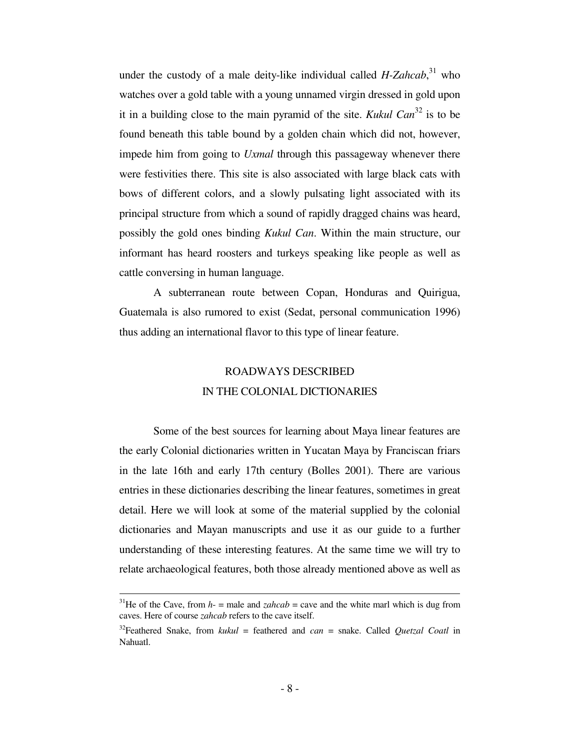under the custody of a male deity-like individual called *H-Zahcab*, <sup>31</sup> who watches over a gold table with a young unnamed virgin dressed in gold upon it in a building close to the main pyramid of the site. *Kukul Can*<sup>32</sup> is to be found beneath this table bound by a golden chain which did not, however, impede him from going to *Uxmal* through this passageway whenever there were festivities there. This site is also associated with large black cats with bows of different colors, and a slowly pulsating light associated with its principal structure from which a sound of rapidly dragged chains was heard, possibly the gold ones binding *Kukul Can*. Within the main structure, our informant has heard roosters and turkeys speaking like people as well as cattle conversing in human language.

 A subterranean route between Copan, Honduras and Quirigua, Guatemala is also rumored to exist (Sedat, personal communication 1996) thus adding an international flavor to this type of linear feature.

# ROADWAYS DESCRIBED IN THE COLONIAL DICTIONARIES

 Some of the best sources for learning about Maya linear features are the early Colonial dictionaries written in Yucatan Maya by Franciscan friars in the late 16th and early 17th century (Bolles 2001). There are various entries in these dictionaries describing the linear features, sometimes in great detail. Here we will look at some of the material supplied by the colonial dictionaries and Mayan manuscripts and use it as our guide to a further understanding of these interesting features. At the same time we will try to relate archaeological features, both those already mentioned above as well as

<sup>&</sup>lt;sup>31</sup>He of the Cave, from  $h$ - = male and *zahcab* = cave and the white marl which is dug from caves. Here of course *zahcab* refers to the cave itself.

<sup>32</sup>Feathered Snake, from *kukul* = feathered and *can* = snake. Called *Quetzal Coatl* in Nahuatl.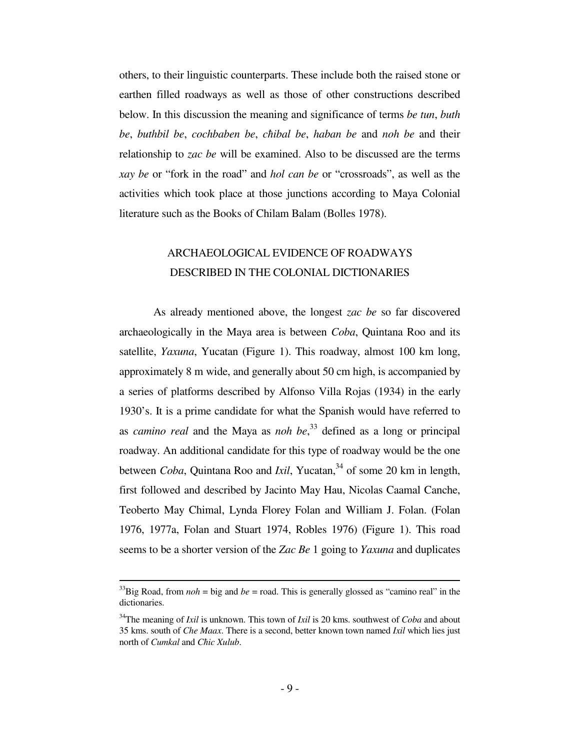others, to their linguistic counterparts. These include both the raised stone or earthen filled roadways as well as those of other constructions described below. In this discussion the meaning and significance of terms *be tun*, *buth be*, *buthbil be*, *cochbaben be*, *cħibal be*, *haban be* and *noh be* and their relationship to *zac be* will be examined. Also to be discussed are the terms *xay be* or "fork in the road" and *hol can be* or "crossroads", as well as the activities which took place at those junctions according to Maya Colonial literature such as the Books of Chilam Balam (Bolles 1978).

# ARCHAEOLOGICAL EVIDENCE OF ROADWAYS DESCRIBED IN THE COLONIAL DICTIONARIES

 As already mentioned above, the longest *zac be* so far discovered archaeologically in the Maya area is between *Coba*, Quintana Roo and its satellite, *Yaxuna*, Yucatan (Figure 1). This roadway, almost 100 km long, approximately 8 m wide, and generally about 50 cm high, is accompanied by a series of platforms described by Alfonso Villa Rojas (1934) in the early 1930's. It is a prime candidate for what the Spanish would have referred to as *camino real* and the Maya as *noh be*, <sup>33</sup> defined as a long or principal roadway. An additional candidate for this type of roadway would be the one between *Coba*, Quintana Roo and *Ixil*, Yucatan,<sup>34</sup> of some 20 km in length, first followed and described by Jacinto May Hau, Nicolas Caamal Canche, Teoberto May Chimal, Lynda Florey Folan and William J. Folan. (Folan 1976, 1977a, Folan and Stuart 1974, Robles 1976) (Figure 1). This road seems to be a shorter version of the *Zac Be* 1 going to *Yaxuna* and duplicates

<sup>&</sup>lt;sup>33</sup>Big Road, from  $noh = big$  and  $be = road$ . This is generally glossed as "camino real" in the dictionaries.

<sup>34</sup>The meaning of *Ixil* is unknown. This town of *Ixil* is 20 kms. southwest of *Coba* and about 35 kms. south of *Che Maax*. There is a second, better known town named *Ixil* which lies just north of *Cumkal* and *Cħic Xulub*.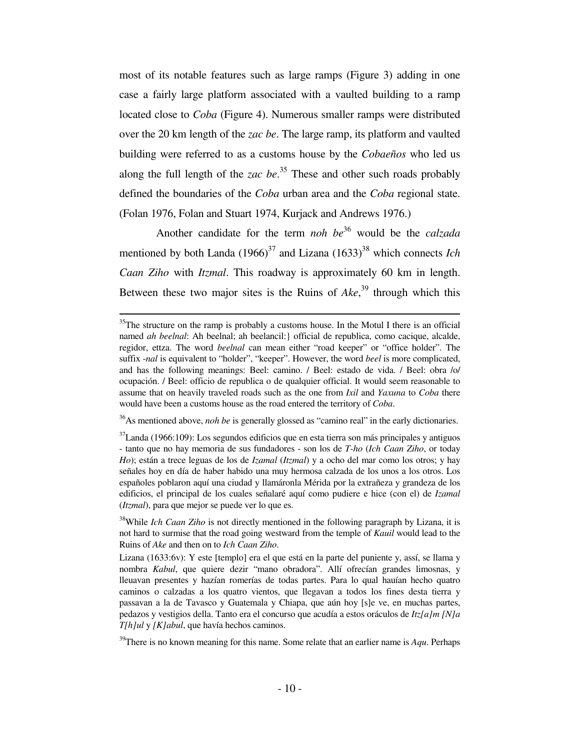most of its notable features such as large ramps (Figure 3) adding in one case a fairly large platform associated with a vaulted building to a ramp located close to *Coba* (Figure 4). Numerous smaller ramps were distributed over the 20 km length of the *zac be*. The large ramp, its platform and vaulted building were referred to as a customs house by the *Cobaeños* who led us along the full length of the *zac be*. <sup>35</sup> These and other such roads probably defined the boundaries of the *Coba* urban area and the *Coba* regional state. (Folan 1976, Folan and Stuart 1974, Kurjack and Andrews 1976.)

 Another candidate for the term *noh be*<sup>36</sup> would be the *calzada* mentioned by both Landa  $(1966)^{37}$  and Lizana  $(1633)^{38}$  which connects *Ich Caan Ziho* with *Itzmal*. This roadway is approximately 60 km in length. Between these two major sites is the Ruins of *Ake*, <sup>39</sup> through which this

 $\overline{a}$ 

<sup>36</sup>As mentioned above, *noh be* is generally glossed as "camino real" in the early dictionaries.

 $35$ The structure on the ramp is probably a customs house. In the Motul I there is an official named *ah beelnal*: Ah beelnal; ah beelancil:} official de republica, como cacique, alcalde, regidor, ettza. The word *beelnal* can mean either "road keeper" or "office holder". The suffix -*nal* is equivalent to "holder", "keeper". However, the word *beel* is more complicated, and has the following meanings: Beel: camino. / Beel: estado de vida. / Beel: obra /o/ ocupación. / Beel: officio de republica o de qualquier official. It would seem reasonable to assume that on heavily traveled roads such as the one from *Ixil* and *Yaxuna* to *Coba* there would have been a customs house as the road entered the territory of *Coba*.

 $37$ Landa (1966:109): Los segundos edificios que en esta tierra son más principales y antiguos - tanto que no hay memoria de sus fundadores - son los de *T-ho* (*Ich Caan Ziho*, or today *Ho*); están a trece leguas de los de *Izamal* (*Itzmal*) y a ocho del mar como los otros; y hay señales hoy en día de haber habido una muy hermosa calzada de los unos a los otros. Los españoles poblaron aquí una ciudad y llamáronla Mérida por la extrañeza y grandeza de los edificios, el principal de los cuales señalaré aquí como pudiere e hice (con el) de *Izamal* (*Itzmal*), para que mejor se puede ver lo que es.

<sup>&</sup>lt;sup>38</sup>While *Ich Caan Ziho* is not directly mentioned in the following paragraph by Lizana, it is not hard to surmise that the road going westward from the temple of *Kauil* would lead to the Ruins of *Ake* and then on to *Ich Caan Ziho*.

Lizana (1633:6v): Y este [templo] era el que está en la parte del puniente y, assí, se llama y nombra *Kabul*, que quiere dezir "mano obradora". Allí ofrecían grandes limosnas, y lleuavan presentes y hazían romerías de todas partes. Para lo qual hauían hecho quatro caminos o calzadas a los quatro vientos, que llegavan a todos los fines desta tierra y passavan a la de Tavasco y Guatemala y Chiapa, que aún hoy [s]e ve, en muchas partes, pedazos y vestigios della. Tanto era el concurso que acudía a estos oráculos de *Itz[a]m [N]a T[h]ul* y *[K]abul*, que havía hechos caminos.

<sup>&</sup>lt;sup>39</sup>There is no known meaning for this name. Some relate that an earlier name is *Aqu*. Perhaps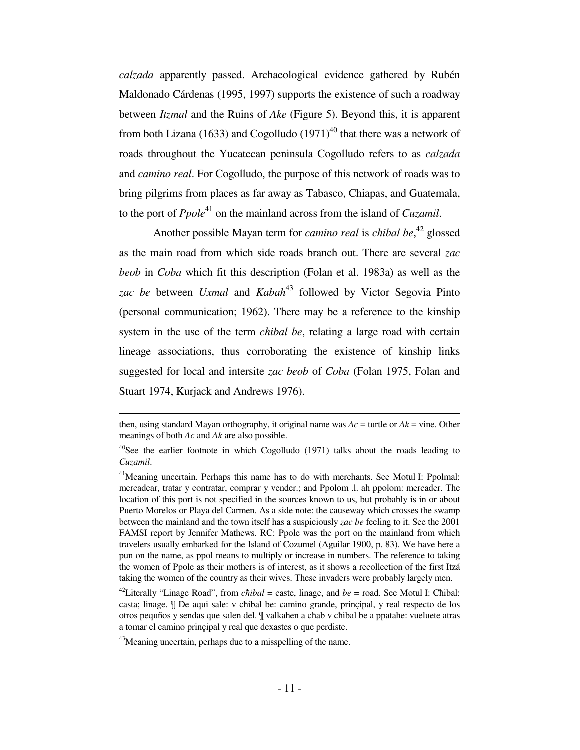*calzada* apparently passed. Archaeological evidence gathered by Rubén Maldonado Cárdenas (1995, 1997) supports the existence of such a roadway between *Itzmal* and the Ruins of *Ake* (Figure 5). Beyond this, it is apparent from both Lizana (1633) and Cogolludo  $(1971)^{40}$  that there was a network of roads throughout the Yucatecan peninsula Cogolludo refers to as *calzada* and *camino real*. For Cogolludo, the purpose of this network of roads was to bring pilgrims from places as far away as Tabasco, Chiapas, and Guatemala, to the port of *Ppole*<sup>41</sup> on the mainland across from the island of *Cuzamil*.

 Another possible Mayan term for *camino real* is *cħibal be*, <sup>42</sup> glossed as the main road from which side roads branch out. There are several *zac beob* in *Coba* which fit this description (Folan et al. 1983a) as well as the zac be between *Uxmal* and *Kabah*<sup>43</sup> followed by Victor Segovia Pinto (personal communication; 1962). There may be a reference to the kinship system in the use of the term *cħibal be*, relating a large road with certain lineage associations, thus corroborating the existence of kinship links suggested for local and intersite *zac beob* of *Coba* (Folan 1975, Folan and Stuart 1974, Kurjack and Andrews 1976).

then, using standard Mayan orthography, it original name was  $Ac =$  turtle or  $Ak =$  vine. Other meanings of both *Ac* and *Ak* are also possible.

 $40$ See the earlier footnote in which Cogolludo (1971) talks about the roads leading to *Cuzamil*.

<sup>&</sup>lt;sup>41</sup>Meaning uncertain. Perhaps this name has to do with merchants. See Motul I: Ppolmal: mercadear, tratar y contratar, comprar y vender.; and Ppolom .l. ah ppolom: mercader. The location of this port is not specified in the sources known to us, but probably is in or about Puerto Morelos or Playa del Carmen. As a side note: the causeway which crosses the swamp between the mainland and the town itself has a suspiciously *zac be* feeling to it. See the 2001 FAMSI report by Jennifer Mathews. RC: Ppole was the port on the mainland from which travelers usually embarked for the Island of Cozumel (Aguilar 1900, p. 83). We have here a pun on the name, as ppol means to multiply or increase in numbers. The reference to taking the women of Ppole as their mothers is of interest, as it shows a recollection of the first Itzá taking the women of the country as their wives. These invaders were probably largely men.

<sup>&</sup>lt;sup>42</sup>Literally "Linage Road", from *chibal* = caste, linage, and  $be =$  road. See Motul I: Chibal: casta; linage. ¶ De aqui sale: v cħibal be: camino grande, prinçipal, y real respecto de los otros pequños y sendas que salen del. ¶ valkahen a cħab v cħibal be a ppatahe: vueluete atras a tomar el camino prinçipal y real que dexastes o que perdiste.

<sup>&</sup>lt;sup>43</sup>Meaning uncertain, perhaps due to a misspelling of the name.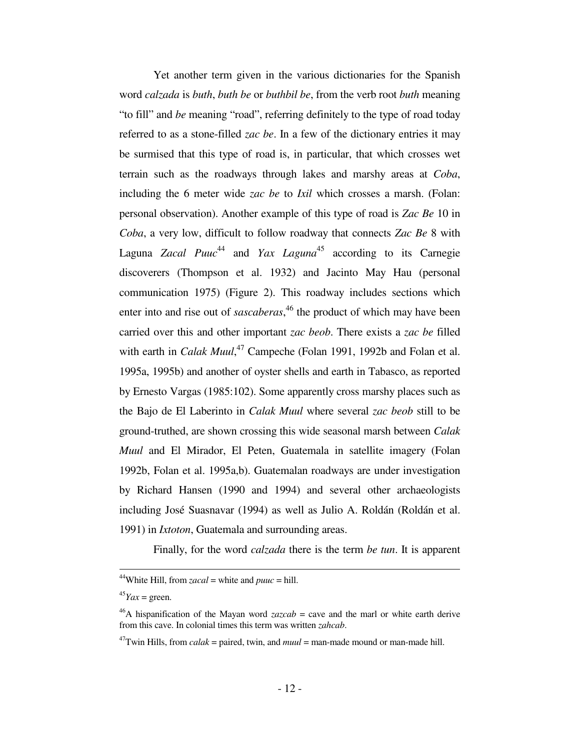Yet another term given in the various dictionaries for the Spanish word *calzada* is *buth*, *buth be* or *buthbil be*, from the verb root *buth* meaning "to fill" and *be* meaning "road", referring definitely to the type of road today referred to as a stone-filled *zac be*. In a few of the dictionary entries it may be surmised that this type of road is, in particular, that which crosses wet terrain such as the roadways through lakes and marshy areas at *Coba*, including the 6 meter wide *zac be* to *Ixil* which crosses a marsh. (Folan: personal observation). Another example of this type of road is *Zac Be* 10 in *Coba*, a very low, difficult to follow roadway that connects *Zac Be* 8 with Laguna *Zacal Puuc*<sup>44</sup> and *Yax Laguna*<sup>45</sup> according to its Carnegie discoverers (Thompson et al. 1932) and Jacinto May Hau (personal communication 1975) (Figure 2). This roadway includes sections which enter into and rise out of *sascaberas*, <sup>46</sup> the product of which may have been carried over this and other important *zac beob*. There exists a *zac be* filled with earth in *Calak Muul*,<sup>47</sup> Campeche (Folan 1991, 1992b and Folan et al. 1995a, 1995b) and another of oyster shells and earth in Tabasco, as reported by Ernesto Vargas (1985:102). Some apparently cross marshy places such as the Bajo de El Laberinto in *Calak Muul* where several *zac beob* still to be ground-truthed, are shown crossing this wide seasonal marsh between *Calak Muul* and El Mirador, El Peten, Guatemala in satellite imagery (Folan 1992b, Folan et al. 1995a,b). Guatemalan roadways are under investigation by Richard Hansen (1990 and 1994) and several other archaeologists including José Suasnavar (1994) as well as Julio A. Roldán (Roldán et al. 1991) in *Ixtoton*, Guatemala and surrounding areas.

Finally, for the word *calzada* there is the term *be tun*. It is apparent

<sup>&</sup>lt;sup>44</sup>White Hill, from *zacal* = white and *puuc* = hill.

 $45$ *Yax* = green.

 $^{46}$ A hispanification of the Mayan word *zazcab* = cave and the marl or white earth derive from this cave. In colonial times this term was written *zahcab*.

 $47$ Twin Hills, from *calak* = paired, twin, and *muul* = man-made mound or man-made hill.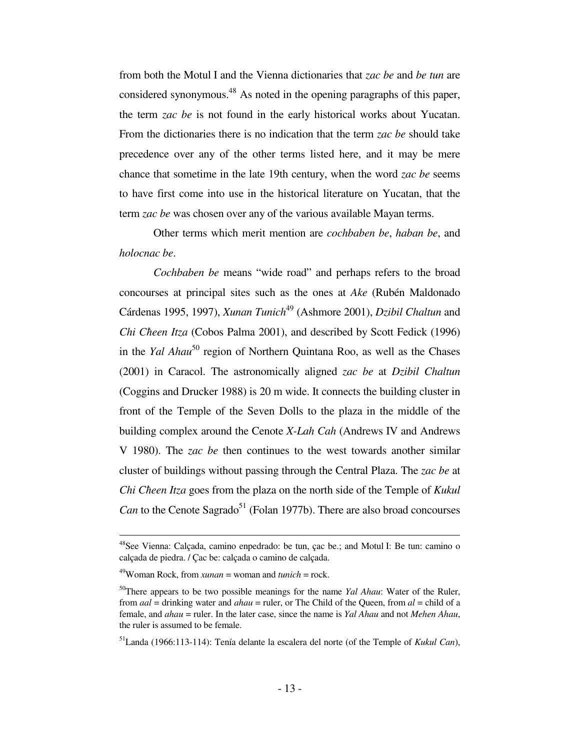from both the Motul I and the Vienna dictionaries that *zac be* and *be tun* are considered synonymous.<sup>48</sup> As noted in the opening paragraphs of this paper, the term *zac be* is not found in the early historical works about Yucatan. From the dictionaries there is no indication that the term *zac be* should take precedence over any of the other terms listed here, and it may be mere chance that sometime in the late 19th century, when the word *zac be* seems to have first come into use in the historical literature on Yucatan, that the term *zac be* was chosen over any of the various available Mayan terms.

 Other terms which merit mention are *cochbaben be*, *haban be*, and *holocnac be*.

 *Cochbaben be* means "wide road" and perhaps refers to the broad concourses at principal sites such as the ones at *Ake* (Rubén Maldonado Cárdenas 1995, 1997), *Xunan Tunich*<sup>49</sup> (Ashmore 2001), *Dzibil Chaltun* and *Chi Cħeen Itza* (Cobos Palma 2001), and described by Scott Fedick (1996) in the *Yal Ahau*<sup>50</sup> region of Northern Quintana Roo, as well as the Chases (2001) in Caracol. The astronomically aligned *zac be* at *Dzibil Chaltun* (Coggins and Drucker 1988) is 20 m wide. It connects the building cluster in front of the Temple of the Seven Dolls to the plaza in the middle of the building complex around the Cenote *X-Lah Cah* (Andrews IV and Andrews V 1980). The *zac be* then continues to the west towards another similar cluster of buildings without passing through the Central Plaza. The *zac be* at *Chi Cħeen Itza* goes from the plaza on the north side of the Temple of *Kukul Can* to the Cenote Sagrado<sup>51</sup> (Folan 1977b). There are also broad concourses

<sup>&</sup>lt;sup>48</sup>See Vienna: Calçada, camino enpedrado: be tun, çac be.; and Motul I: Be tun: camino o calçada de piedra. / Çac be: calçada o camino de calçada.

 $^{49}$ Woman Rock, from *xunan* = woman and *tunich* = rock.

<sup>50</sup>There appears to be two possible meanings for the name *Yal Ahau*: Water of the Ruler, from *aal* = drinking water and *ahau* = ruler, or The Child of the Queen, from *al* = child of a female, and *ahau* = ruler. In the later case, since the name is *Yal Ahau* and not *Mehen Ahau*, the ruler is assumed to be female.

<sup>51</sup>Landa (1966:113-114): Tenía delante la escalera del norte (of the Temple of *Kukul Can*),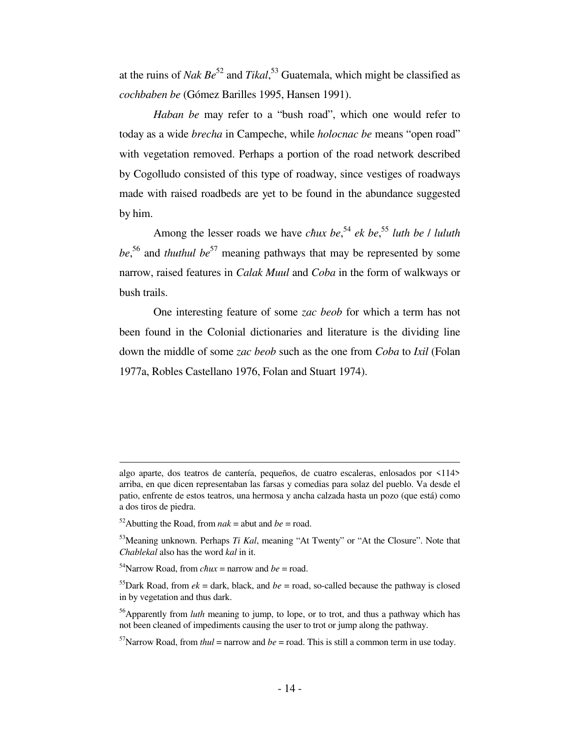at the ruins of *Nak Be*<sup>52</sup> and *Tikal*, <sup>53</sup> Guatemala, which might be classified as *cochbaben be* (Gómez Barilles 1995, Hansen 1991).

 *Haban be* may refer to a "bush road", which one would refer to today as a wide *brecha* in Campeche, while *holocnac be* means "open road" with vegetation removed. Perhaps a portion of the road network described by Cogolludo consisted of this type of roadway, since vestiges of roadways made with raised roadbeds are yet to be found in the abundance suggested by him.

 Among the lesser roads we have *cħux be*, <sup>54</sup> *ek be*, <sup>55</sup> *luth be* / *luluth*  be,<sup>56</sup> and *thuthul be*<sup>57</sup> meaning pathways that may be represented by some narrow, raised features in *Calak Muul* and *Coba* in the form of walkways or bush trails.

 One interesting feature of some *zac beob* for which a term has not been found in the Colonial dictionaries and literature is the dividing line down the middle of some *zac beob* such as the one from *Coba* to *Ixil* (Folan 1977a, Robles Castellano 1976, Folan and Stuart 1974).

į.

algo aparte, dos teatros de cantería, pequeños, de cuatro escaleras, enlosados por <114> arriba, en que dicen representaban las farsas y comedias para solaz del pueblo. Va desde el patio, enfrente de estos teatros, una hermosa y ancha calzada hasta un pozo (que está) como a dos tiros de piedra.

<sup>&</sup>lt;sup>52</sup>Abutting the Road, from  $nak =$  abut and  $be =$  road.

<sup>53</sup>Meaning unknown. Perhaps *Ti Kal*, meaning "At Twenty" or "At the Closure". Note that *Chablekal* also has the word *kal* in it.

<sup>&</sup>lt;sup>54</sup>Narrow Road, from  $\epsilon \hbar u x$  = narrow and *be* = road.

<sup>&</sup>lt;sup>55</sup>Dark Road, from  $ek =$  dark, black, and  $be =$  road, so-called because the pathway is closed in by vegetation and thus dark.

<sup>56</sup>Apparently from *luth* meaning to jump, to lope, or to trot, and thus a pathway which has not been cleaned of impediments causing the user to trot or jump along the pathway.

<sup>&</sup>lt;sup>57</sup>Narrow Road, from *thul* = narrow and *be* = road. This is still a common term in use today.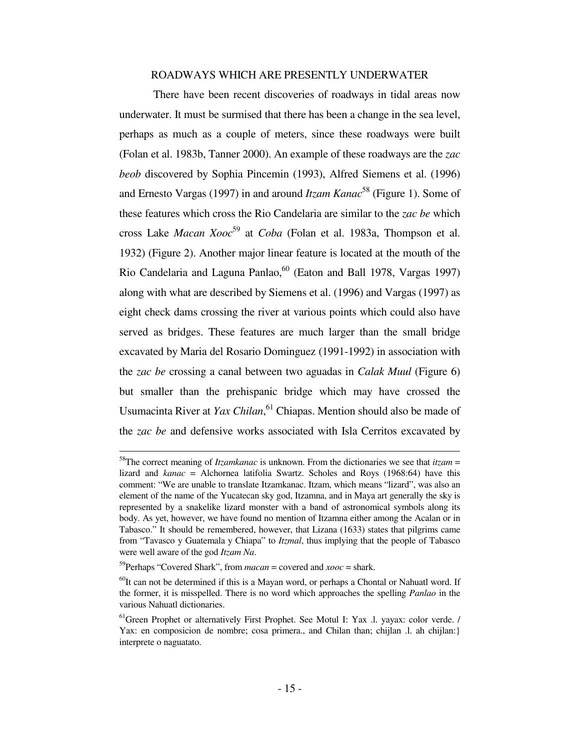# ROADWAYS WHICH ARE PRESENTLY UNDERWATER

 There have been recent discoveries of roadways in tidal areas now underwater. It must be surmised that there has been a change in the sea level, perhaps as much as a couple of meters, since these roadways were built (Folan et al. 1983b, Tanner 2000). An example of these roadways are the *zac beob* discovered by Sophia Pincemin (1993), Alfred Siemens et al. (1996) and Ernesto Vargas (1997) in and around *Itzam Kanac*<sup>58</sup> (Figure 1). Some of these features which cross the Rio Candelaria are similar to the *zac be* which cross Lake *Macan Xooc*<sup>59</sup> at *Coba* (Folan et al. 1983a, Thompson et al. 1932) (Figure 2). Another major linear feature is located at the mouth of the Rio Candelaria and Laguna Panlao,<sup>60</sup> (Eaton and Ball 1978, Vargas 1997) along with what are described by Siemens et al. (1996) and Vargas (1997) as eight check dams crossing the river at various points which could also have served as bridges. These features are much larger than the small bridge excavated by Maria del Rosario Dominguez (1991-1992) in association with the *zac be* crossing a canal between two aguadas in *Calak Muul* (Figure 6) but smaller than the prehispanic bridge which may have crossed the Usumacinta River at *Yax Chilan*, <sup>61</sup> Chiapas. Mention should also be made of the *zac be* and defensive works associated with Isla Cerritos excavated by

<sup>58</sup>The correct meaning of *Itzamkanac* is unknown. From the dictionaries we see that *itzam* = lizard and *kanac* = Alchornea latifolia Swartz. Scholes and Roys (1968:64) have this comment: "We are unable to translate Itzamkanac. Itzam, which means "lizard", was also an element of the name of the Yucatecan sky god, Itzamna, and in Maya art generally the sky is represented by a snakelike lizard monster with a band of astronomical symbols along its body. As yet, however, we have found no mention of Itzamna either among the Acalan or in Tabasco." It should be remembered, however, that Lizana (1633) states that pilgrims came from "Tavasco y Guatemala y Chiapa" to *Itzmal*, thus implying that the people of Tabasco were well aware of the god *Itzam Na*.

<sup>&</sup>lt;sup>59</sup>Perhaps "Covered Shark", from *macan* = covered and *xooc* = shark.

 $^{60}$ It can not be determined if this is a Mayan word, or perhaps a Chontal or Nahuatl word. If the former, it is misspelled. There is no word which approaches the spelling *Panlao* in the various Nahuatl dictionaries.

 $<sup>61</sup>$  Green Prophet or alternatively First Prophet. See Motul I: Yax .l. yayax: color verde. /</sup> Yax: en composicion de nombre; cosa primera., and Chilan than; chijlan .l. ah chijlan:} interprete o naguatato.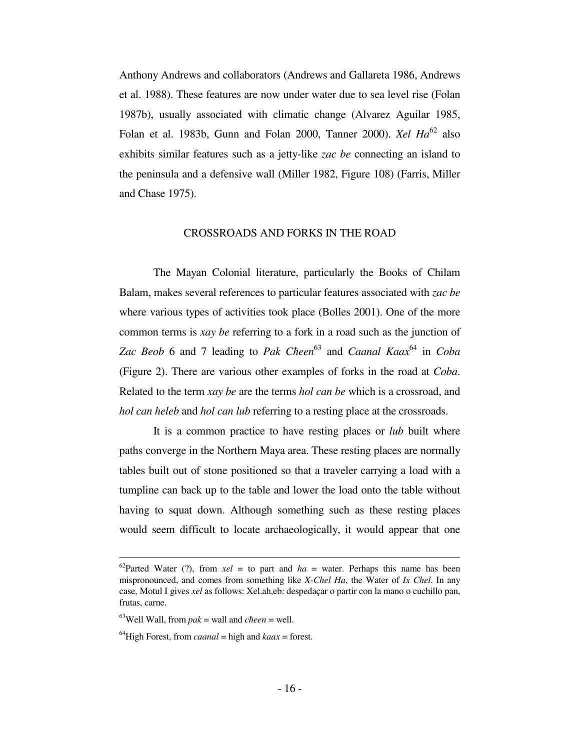Anthony Andrews and collaborators (Andrews and Gallareta 1986, Andrews et al. 1988). These features are now under water due to sea level rise (Folan 1987b), usually associated with climatic change (Alvarez Aguilar 1985, Folan et al. 1983b, Gunn and Folan 2000, Tanner 2000). *Xel Ha*<sup>62</sup> also exhibits similar features such as a jetty-like *zac be* connecting an island to the peninsula and a defensive wall (Miller 1982, Figure 108) (Farris, Miller and Chase 1975).

#### CROSSROADS AND FORKS IN THE ROAD

 The Mayan Colonial literature, particularly the Books of Chilam Balam, makes several references to particular features associated with *zac be* where various types of activities took place (Bolles 2001). One of the more common terms is *xay be* referring to a fork in a road such as the junction of *Zac Beob* 6 and 7 leading to *Pak Cħeen* <sup>63</sup> and *Caanal Kaax*<sup>64</sup> in *Coba* (Figure 2). There are various other examples of forks in the road at *Coba*. Related to the term *xay be* are the terms *hol can be* which is a crossroad, and *hol can heleb* and *hol can lub* referring to a resting place at the crossroads.

 It is a common practice to have resting places or *lub* built where paths converge in the Northern Maya area. These resting places are normally tables built out of stone positioned so that a traveler carrying a load with a tumpline can back up to the table and lower the load onto the table without having to squat down. Although something such as these resting places would seem difficult to locate archaeologically, it would appear that one

<sup>&</sup>lt;sup>62</sup>Parted Water (?), from  $xel =$  to part and  $ha =$  water. Perhaps this name has been mispronounced, and comes from something like *X-Chel Ha*, the Water of *Ix Chel*. In any case, Motul I gives *xel* as follows: Xel.ah,eb: despedaçar o partir con la mano o cuchillo pan, frutas, carne.

 $^{63}$ Well Wall, from *pak* = wall and *cheen* = well.

 $^{64}$ High Forest, from *caanal* = high and *kaax* = forest.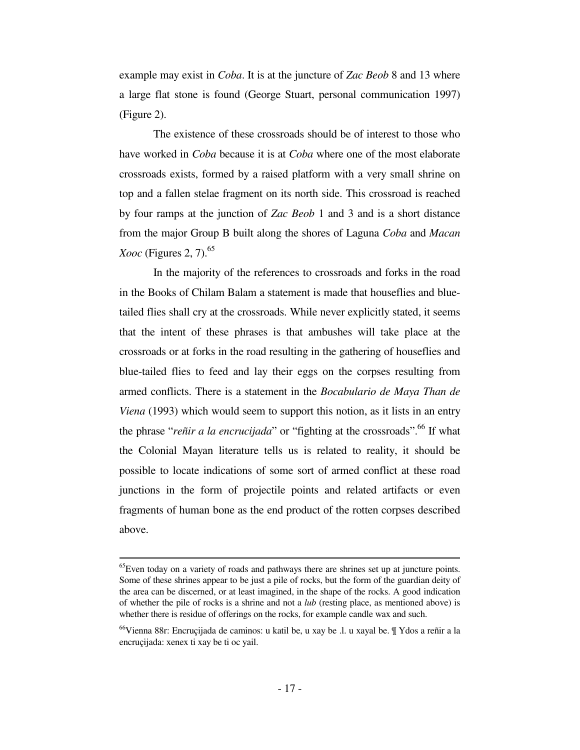example may exist in *Coba*. It is at the juncture of *Zac Beob* 8 and 13 where a large flat stone is found (George Stuart, personal communication 1997) (Figure 2).

 The existence of these crossroads should be of interest to those who have worked in *Coba* because it is at *Coba* where one of the most elaborate crossroads exists, formed by a raised platform with a very small shrine on top and a fallen stelae fragment on its north side. This crossroad is reached by four ramps at the junction of *Zac Beob* 1 and 3 and is a short distance from the major Group B built along the shores of Laguna *Coba* and *Macan Xooc* (Figures 2, 7).<sup>65</sup>

 In the majority of the references to crossroads and forks in the road in the Books of Chilam Balam a statement is made that houseflies and bluetailed flies shall cry at the crossroads. While never explicitly stated, it seems that the intent of these phrases is that ambushes will take place at the crossroads or at forks in the road resulting in the gathering of houseflies and blue-tailed flies to feed and lay their eggs on the corpses resulting from armed conflicts. There is a statement in the *Bocabulario de Maya Than de Viena* (1993) which would seem to support this notion, as it lists in an entry the phrase "*reñir a la encrucijada*" or "fighting at the crossroads".<sup>66</sup> If what the Colonial Mayan literature tells us is related to reality, it should be possible to locate indications of some sort of armed conflict at these road junctions in the form of projectile points and related artifacts or even fragments of human bone as the end product of the rotten corpses described above.

į.

 $^{65}$ Even today on a variety of roads and pathways there are shrines set up at juncture points. Some of these shrines appear to be just a pile of rocks, but the form of the guardian deity of the area can be discerned, or at least imagined, in the shape of the rocks. A good indication of whether the pile of rocks is a shrine and not a *lub* (resting place, as mentioned above) is whether there is residue of offerings on the rocks, for example candle wax and such.

<sup>66</sup>Vienna 88r: Encruçijada de caminos: u katil be, u xay be .l. u xayal be. ¶ Ydos a reñir a la encruçijada: xenex ti xay be ti oc yail.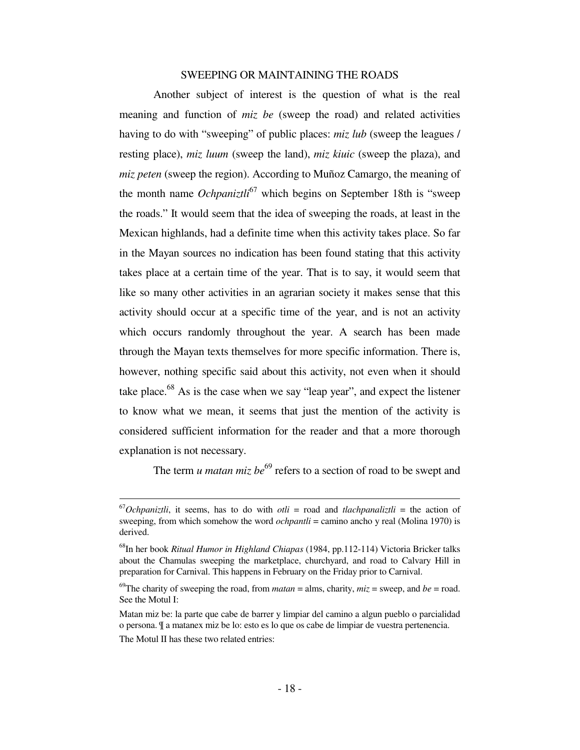# SWEEPING OR MAINTAINING THE ROADS

 Another subject of interest is the question of what is the real meaning and function of *miz be* (sweep the road) and related activities having to do with "sweeping" of public places: *miz lub* (sweep the leagues / resting place), *miz luum* (sweep the land), *miz kiuic* (sweep the plaza), and *miz peten* (sweep the region). According to Muñoz Camargo, the meaning of the month name *Ochpaniztli*<sup>67</sup> which begins on September 18th is "sweep the roads." It would seem that the idea of sweeping the roads, at least in the Mexican highlands, had a definite time when this activity takes place. So far in the Mayan sources no indication has been found stating that this activity takes place at a certain time of the year. That is to say, it would seem that like so many other activities in an agrarian society it makes sense that this activity should occur at a specific time of the year, and is not an activity which occurs randomly throughout the year. A search has been made through the Mayan texts themselves for more specific information. There is, however, nothing specific said about this activity, not even when it should take place. $^{68}$  As is the case when we say "leap year", and expect the listener to know what we mean, it seems that just the mention of the activity is considered sufficient information for the reader and that a more thorough explanation is not necessary.

The term *u matan miz be*<sup>69</sup> refers to a section of road to be swept and

 $^{67}Ochpaniztli$ , it seems, has to do with *otli* = road and *tlachpanaliztli* = the action of sweeping, from which somehow the word *ochpantli* = camino ancho y real (Molina 1970) is derived.

<sup>68</sup>In her book *Ritual Humor in Highland Chiapas* (1984, pp.112-114) Victoria Bricker talks about the Chamulas sweeping the marketplace, churchyard, and road to Calvary Hill in preparation for Carnival. This happens in February on the Friday prior to Carnival.

<sup>&</sup>lt;sup>69</sup>The charity of sweeping the road, from *matan* = alms, charity,  $miz$  = sweep, and *be* = road. See the Motul I:

Matan miz be: la parte que cabe de barrer y limpiar del camino a algun pueblo o parcialidad o persona. ¶ a matanex miz be lo: esto es lo que os cabe de limpiar de vuestra pertenencia. The Motul II has these two related entries: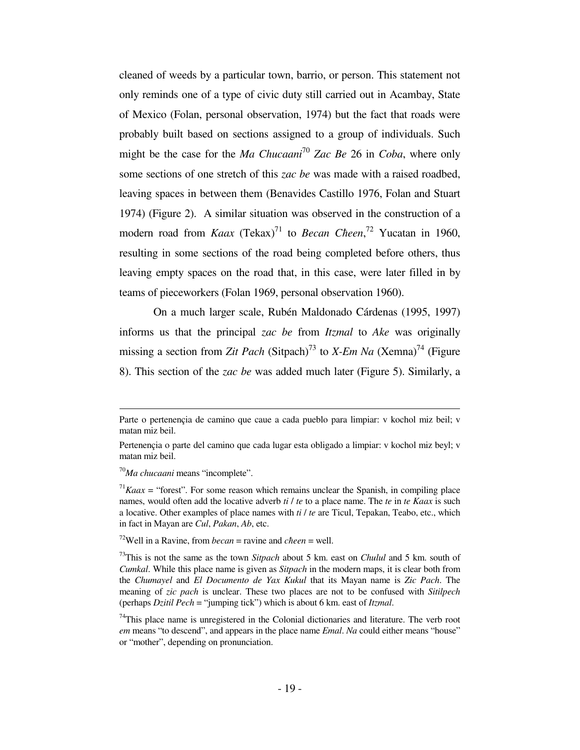cleaned of weeds by a particular town, barrio, or person. This statement not only reminds one of a type of civic duty still carried out in Acambay, State of Mexico (Folan, personal observation, 1974) but the fact that roads were probably built based on sections assigned to a group of individuals. Such might be the case for the *Ma Chucaani*<sup>70</sup> *Zac Be* 26 in *Coba*, where only some sections of one stretch of this *zac be* was made with a raised roadbed, leaving spaces in between them (Benavides Castillo 1976, Folan and Stuart 1974) (Figure 2). A similar situation was observed in the construction of a modern road from *Kaax* (Tekax)<sup>71</sup> to *Becan Cheen*,<sup>72</sup> Yucatan in 1960, resulting in some sections of the road being completed before others, thus leaving empty spaces on the road that, in this case, were later filled in by teams of pieceworkers (Folan 1969, personal observation 1960).

 On a much larger scale, Rubén Maldonado Cárdenas (1995, 1997) informs us that the principal *zac be* from *Itzmal* to *Ake* was originally missing a section from *Zit Pach* (Sitpach)<sup>73</sup> to *X-Em Na* (Xemna)<sup>74</sup> (Figure 8). This section of the *zac be* was added much later (Figure 5). Similarly, a

 $\overline{\phantom{0}}$ 

 $72$ Well in a Ravine, from *becan* = ravine and *cheen* = well.

Parte o pertenençia de camino que caue a cada pueblo para limpiar: v kochol miz beil; v matan miz beil.

Pertenençia o parte del camino que cada lugar esta obligado a limpiar: v kochol miz beyl; v matan miz beil.

<sup>70</sup>*Ma chucaani* means "incomplete".

 $17Kaax$  = "forest". For some reason which remains unclear the Spanish, in compiling place names, would often add the locative adverb *ti* / *te* to a place name. The *te* in *te Kaax* is such a locative. Other examples of place names with *ti* / *te* are Ticul, Tepakan, Teabo, etc., which in fact in Mayan are *Cul*, *Pakan*, *Ab*, etc.

<sup>73</sup>This is not the same as the town *Sitpach* about 5 km. east on *Chulul* and 5 km. south of *Cumkal*. While this place name is given as *Sitpach* in the modern maps, it is clear both from the *Chumayel* and *El Documento de Yax Kukul* that its Mayan name is *Zic Pach*. The meaning of *zic pach* is unclear. These two places are not to be confused with *Sitilpech* (perhaps *Dzitil Pech* = "jumping tick") which is about 6 km. east of *Itzmal*.

 $74$ This place name is unregistered in the Colonial dictionaries and literature. The verb root *em* means "to descend", and appears in the place name *Emal*. *Na* could either means "house" or "mother", depending on pronunciation.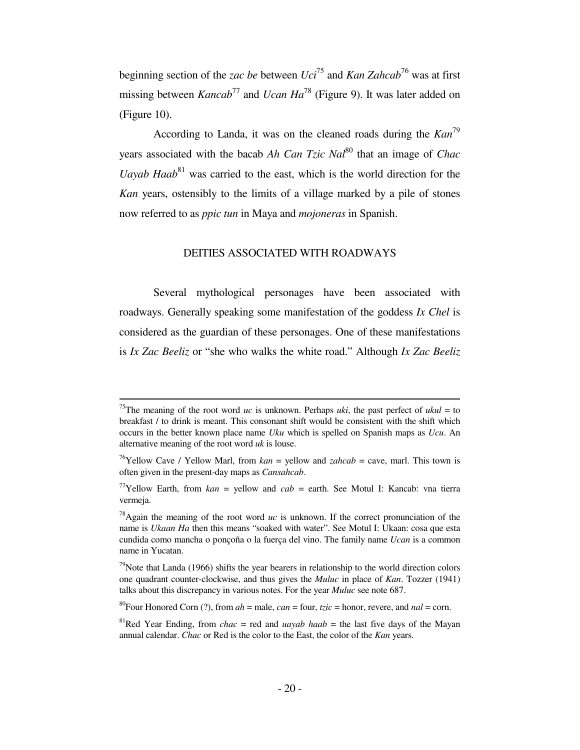beginning section of the *zac be* between *Uci*<sup>75</sup> and *Kan Zahcab*<sup>76</sup> was at first missing between *Kancab*<sup>77</sup> and *Ucan Ha*<sup>78</sup> (Figure 9). It was later added on (Figure 10).

 According to Landa, it was on the cleaned roads during the *Kan*<sup>79</sup> years associated with the bacab *Ah Can Tzic Nal*<sup>80</sup> that an image of *Chac Uayab Haab*<sup>81</sup> was carried to the east, which is the world direction for the *Kan* years, ostensibly to the limits of a village marked by a pile of stones now referred to as *ppic tun* in Maya and *mojoneras* in Spanish.

# DEITIES ASSOCIATED WITH ROADWAYS

 Several mythological personages have been associated with roadways. Generally speaking some manifestation of the goddess *Ix Chel* is considered as the guardian of these personages. One of these manifestations is *Ix Zac Beeliz* or "she who walks the white road." Although *Ix Zac Beeliz*

<sup>&</sup>lt;sup>75</sup>The meaning of the root word *uc* is unknown. Perhaps *uki*, the past perfect of *ukul* = to breakfast / to drink is meant. This consonant shift would be consistent with the shift which occurs in the better known place name *Uku* which is spelled on Spanish maps as *Ucu*. An alternative meaning of the root word *uk* is louse.

<sup>76</sup>Yellow Cave / Yellow Marl, from *kan* = yellow and *zahcab* = cave, marl. This town is often given in the present-day maps as *Cansahcab*.

<sup>&</sup>lt;sup>77</sup>Yellow Earth, from  $kan =$  yellow and  $cab =$  earth. See Motul I: Kancab: vna tierra vermeja.

<sup>&</sup>lt;sup>78</sup>Again the meaning of the root word  $uc$  is unknown. If the correct pronunciation of the name is *Ukaan Ha* then this means "soaked with water". See Motul I: Ukaan: cosa que esta cundida como mancha o ponçoña o la fuerça del vino. The family name *Ucan* is a common name in Yucatan.

 $79$ Note that Landa (1966) shifts the year bearers in relationship to the world direction colors one quadrant counter-clockwise, and thus gives the *Muluc* in place of *Kan*. Tozzer (1941) talks about this discrepancy in various notes. For the year *Muluc* see note 687.

<sup>&</sup>lt;sup>80</sup>Four Honored Corn (?), from  $ah =$  male,  $can =$  four,  $tzic =$  honor, revere, and  $nal =$  corn.

<sup>&</sup>lt;sup>81</sup>Red Year Ending, from *chac* = red and *uayab haab* = the last five days of the Mayan annual calendar. *Chac* or Red is the color to the East, the color of the *Kan* years.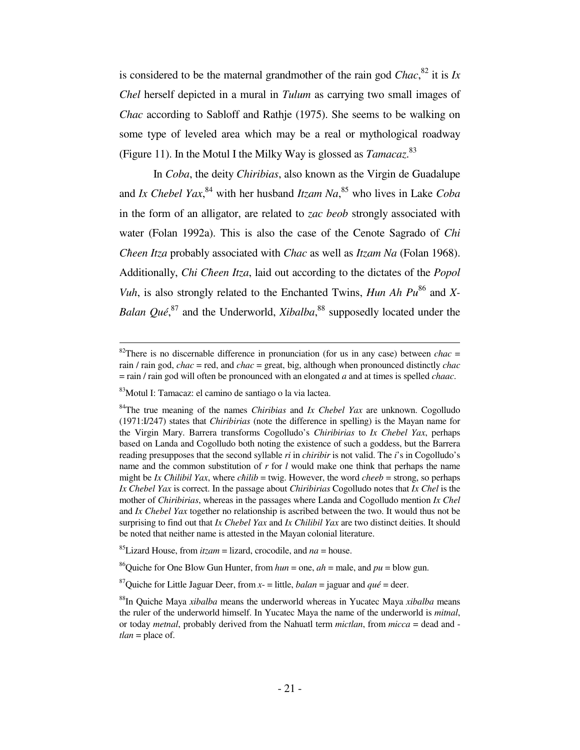is considered to be the maternal grandmother of the rain god  $Chac$ <sup>82</sup>, it is *Ix Chel* herself depicted in a mural in *Tulum* as carrying two small images of *Chac* according to Sabloff and Rathje (1975). She seems to be walking on some type of leveled area which may be a real or mythological roadway (Figure 11). In the Motul I the Milky Way is glossed as *Tamacaz*. 83

 In *Coba*, the deity *Chiribias*, also known as the Virgin de Guadalupe and *Ix Chebel Yax*, <sup>84</sup> with her husband *Itzam Na*, <sup>85</sup> who lives in Lake *Coba* in the form of an alligator, are related to *zac beob* strongly associated with water (Folan 1992a). This is also the case of the Cenote Sagrado of *Chi Cħeen Itza* probably associated with *Chac* as well as *Itzam Na* (Folan 1968). Additionally, *Chi Cħeen Itza*, laid out according to the dictates of the *Popol Vuh*, is also strongly related to the Enchanted Twins, *Hun Ah Pu*<sup>86</sup> and *X*-Balan *Qué*,<sup>87</sup> and the Underworld, *Xibalba*,<sup>88</sup> supposedly located under the

į.

<sup>&</sup>lt;sup>82</sup>There is no discernable difference in pronunciation (for us in any case) between *chac* = rain / rain god, *chac* = red, and *chac* = great, big, although when pronounced distinctly *chac* = rain / rain god will often be pronounced with an elongated *a* and at times is spelled *chaac*.

<sup>83</sup>Motul I: Tamacaz: el camino de santiago o la via lactea.

<sup>84</sup>The true meaning of the names *Chiribias* and *Ix Chebel Yax* are unknown. Cogolludo (1971:I/247) states that *Chiribirias* (note the difference in spelling) is the Mayan name for the Virgin Mary. Barrera transforms Cogolludo's *Chiribirias* to *Ix Chebel Yax*, perhaps based on Landa and Cogolludo both noting the existence of such a goddess, but the Barrera reading presupposes that the second syllable *ri* in *chiribir* is not valid. The *i*'s in Cogolludo's name and the common substitution of *r* for *l* would make one think that perhaps the name might be *Ix Cħilibil Yax*, where *cħilib* = twig. However, the word *cheeb* = strong, so perhaps *Ix Chebel Yax* is correct. In the passage about *Chiribirias* Cogolludo notes that *Ix Chel* is the mother of *Chiribirias*, whereas in the passages where Landa and Cogolludo mention *Ix Chel* and *Ix Chebel Yax* together no relationship is ascribed between the two. It would thus not be surprising to find out that *Ix Chebel Yax* and *Ix Cħilibil Yax* are two distinct deities. It should be noted that neither name is attested in the Mayan colonial literature.

<sup>&</sup>lt;sup>85</sup>Lizard House, from  $itzam =$  lizard, crocodile, and  $na =$  house.

<sup>&</sup>lt;sup>86</sup>Quiche for One Blow Gun Hunter, from  $hun =$  one,  $ah =$  male, and  $pu =$  blow gun.

<sup>&</sup>lt;sup>87</sup>Quiche for Little Jaguar Deer, from  $x =$  little, *balan* = jaguar and *qué* = deer.

<sup>88</sup>In Quiche Maya *xibalba* means the underworld whereas in Yucatec Maya *xibalba* means the ruler of the underworld himself. In Yucatec Maya the name of the underworld is *mitnal*, or today *metnal*, probably derived from the Nahuatl term *mictlan*, from *micca* = dead and *tlan* = place of.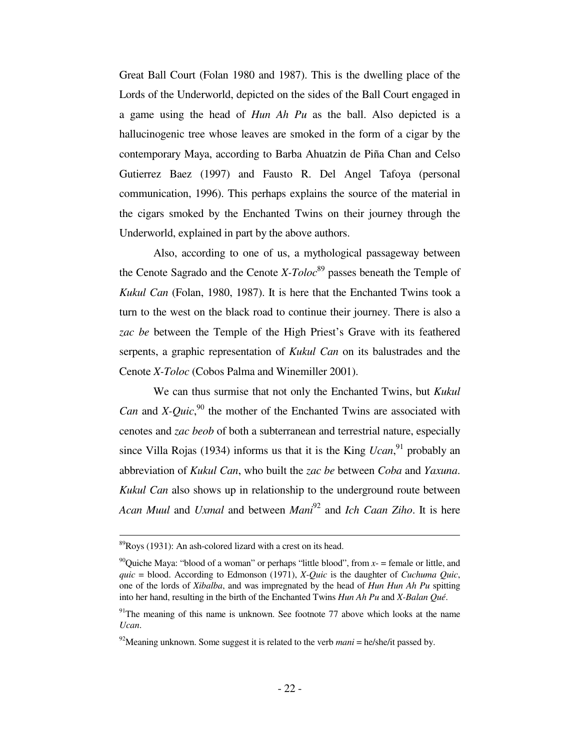Great Ball Court (Folan 1980 and 1987). This is the dwelling place of the Lords of the Underworld, depicted on the sides of the Ball Court engaged in a game using the head of *Hun Ah Pu* as the ball. Also depicted is a hallucinogenic tree whose leaves are smoked in the form of a cigar by the contemporary Maya, according to Barba Ahuatzin de Piña Chan and Celso Gutierrez Baez (1997) and Fausto R. Del Angel Tafoya (personal communication, 1996). This perhaps explains the source of the material in the cigars smoked by the Enchanted Twins on their journey through the Underworld, explained in part by the above authors.

 Also, according to one of us, a mythological passageway between the Cenote Sagrado and the Cenote  $X- Toloc<sup>89</sup>$  passes beneath the Temple of *Kukul Can* (Folan, 1980, 1987). It is here that the Enchanted Twins took a turn to the west on the black road to continue their journey. There is also a *zac be* between the Temple of the High Priest's Grave with its feathered serpents, a graphic representation of *Kukul Can* on its balustrades and the Cenote *X-Toloc* (Cobos Palma and Winemiller 2001).

 We can thus surmise that not only the Enchanted Twins, but *Kukul Can* and *X*-*Quic*,<sup>90</sup> the mother of the Enchanted Twins are associated with cenotes and *zac beob* of both a subterranean and terrestrial nature, especially since Villa Rojas (1934) informs us that it is the King *Ucan*,<sup>91</sup> probably an abbreviation of *Kukul Can*, who built the *zac be* between *Coba* and *Yaxuna*. *Kukul Can* also shows up in relationship to the underground route between *Acan Muul* and *Uxmal* and between *Mani*<sup>92</sup> and *Ich Caan Ziho*. It is here

 $89$ Roys (1931): An ash-colored lizard with a crest on its head.

<sup>&</sup>lt;sup>90</sup>Quiche Maya: "blood of a woman" or perhaps "little blood", from  $x$ - = female or little, and *quic* = blood. According to Edmonson (1971), *X-Quic* is the daughter of *Cuchuma Quic*, one of the lords of *Xibalba*, and was impregnated by the head of *Hun Hun Ah Pu* spitting into her hand, resulting in the birth of the Enchanted Twins *Hun Ah Pu* and *X-Balan Qué*.

 $91$ <sup>91</sup>The meaning of this name is unknown. See footnote 77 above which looks at the name *Ucan*.

<sup>&</sup>lt;sup>92</sup>Meaning unknown. Some suggest it is related to the verb  $mani = \frac{he}{she/it}$  passed by.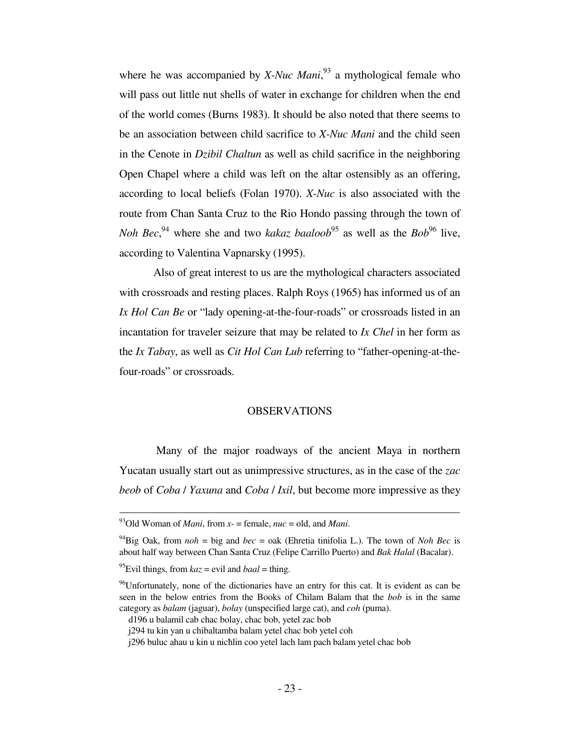where he was accompanied by *X-Nuc Mani*,<sup>93</sup> a mythological female who will pass out little nut shells of water in exchange for children when the end of the world comes (Burns 1983). It should be also noted that there seems to be an association between child sacrifice to *X-Nuc Mani* and the child seen in the Cenote in *Dzibil Chaltun* as well as child sacrifice in the neighboring Open Chapel where a child was left on the altar ostensibly as an offering, according to local beliefs (Folan 1970). *X-Nuc* is also associated with the route from Chan Santa Cruz to the Rio Hondo passing through the town of *Noh Bec*<sup>94</sup> where she and two *kakaz baaloob*<sup>95</sup> as well as the *Bob*<sup>96</sup> live, according to Valentina Vapnarsky (1995).

 Also of great interest to us are the mythological characters associated with crossroads and resting places. Ralph Roys (1965) has informed us of an *Ix Hol Can Be* or "lady opening-at-the-four-roads" or crossroads listed in an incantation for traveler seizure that may be related to *Ix Chel* in her form as the *Ix Tabay*, as well as *Cit Hol Can Lub* referring to "father-opening-at-thefour-roads" or crossroads.

# OBSERVATIONS

 Many of the major roadways of the ancient Maya in northern Yucatan usually start out as unimpressive structures, as in the case of the *zac beob* of *Coba* / *Yaxuna* and *Coba* / *Ixil*, but become more impressive as they

į.

<sup>93</sup>Old Woman of *Mani*, from *x*- = female, *nuc* = old, and *Mani*.

<sup>&</sup>lt;sup>94</sup>Big Oak, from  $noh = big$  and  $bec = oak$  (Ehretia tinifolia L.). The town of *Noh Bec* is about half way between Chan Santa Cruz (Felipe Carrillo Puerto) and *Bak Halal* (Bacalar).

<sup>&</sup>lt;sup>95</sup>Evil things, from  $kaz$  = evil and  $baal$  = thing.

 $96$ Unfortunately, none of the dictionaries have an entry for this cat. It is evident as can be seen in the below entries from the Books of Chilam Balam that the *bob* is in the same category as *balam* (jaguar), *bolay* (unspecified large cat), and *coh* (puma).

d196 u balamil cab chac bolay, chac bob, yetel zac bob

j294 tu kin yan u chibaltamba balam yetel chac bob yetel coh

j296 buluc ahau u kin u nicħlin coo yetel lach lam pach balam yetel chac bob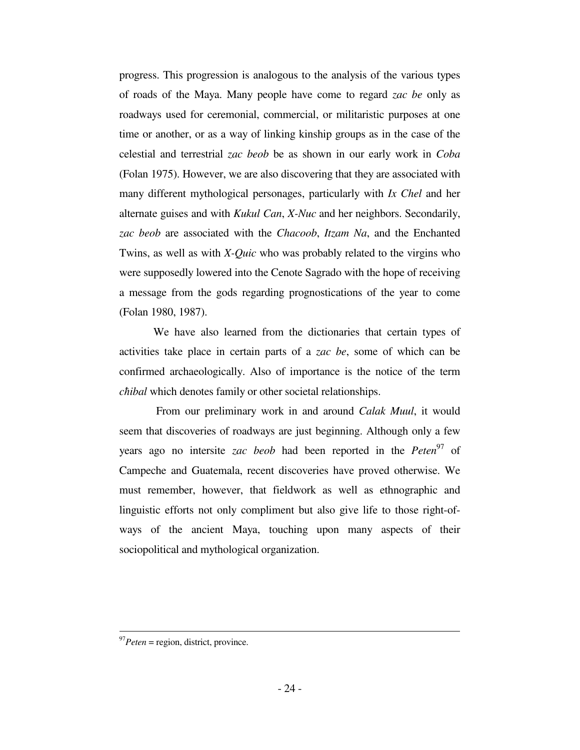progress. This progression is analogous to the analysis of the various types of roads of the Maya. Many people have come to regard *zac be* only as roadways used for ceremonial, commercial, or militaristic purposes at one time or another, or as a way of linking kinship groups as in the case of the celestial and terrestrial *zac beob* be as shown in our early work in *Coba* (Folan 1975). However, we are also discovering that they are associated with many different mythological personages, particularly with *Ix Chel* and her alternate guises and with *Kukul Can*, *X-Nuc* and her neighbors. Secondarily, *zac beob* are associated with the *Chacoob*, *Itzam Na*, and the Enchanted Twins, as well as with *X-Quic* who was probably related to the virgins who were supposedly lowered into the Cenote Sagrado with the hope of receiving a message from the gods regarding prognostications of the year to come (Folan 1980, 1987).

 We have also learned from the dictionaries that certain types of activities take place in certain parts of a *zac be*, some of which can be confirmed archaeologically. Also of importance is the notice of the term *cħibal* which denotes family or other societal relationships.

 From our preliminary work in and around *Calak Muul*, it would seem that discoveries of roadways are just beginning. Although only a few years ago no intersite *zac beob* had been reported in the *Peten*<sup>97</sup> of Campeche and Guatemala, recent discoveries have proved otherwise. We must remember, however, that fieldwork as well as ethnographic and linguistic efforts not only compliment but also give life to those right-ofways of the ancient Maya, touching upon many aspects of their sociopolitical and mythological organization.

 $\overline{a}$ 

<sup>97</sup>*Peten* = region, district, province.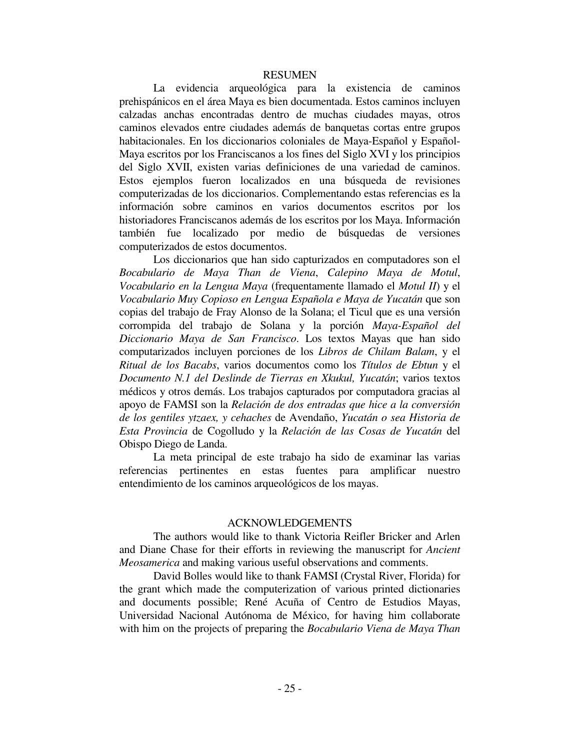#### RESUMEN

 La evidencia arqueológica para la existencia de caminos prehispánicos en el área Maya es bien documentada. Estos caminos incluyen calzadas anchas encontradas dentro de muchas ciudades mayas, otros caminos elevados entre ciudades además de banquetas cortas entre grupos habitacionales. En los diccionarios coloniales de Maya-Español y Español-Maya escritos por los Franciscanos a los fines del Siglo XVI y los principios del Siglo XVII, existen varias definiciones de una variedad de caminos. Estos ejemplos fueron localizados en una búsqueda de revisiones computerizadas de los diccionarios. Complementando estas referencias es la información sobre caminos en varios documentos escritos por los historiadores Franciscanos además de los escritos por los Maya. Información también fue localizado por medio de búsquedas de versiones computerizados de estos documentos.

 Los diccionarios que han sido capturizados en computadores son el *Bocabulario de Maya Than de Viena*, *Calepino Maya de Motul*, *Vocabulario en la Lengua Maya* (frequentamente llamado el *Motul II*) y el *Vocabulario Muy Copioso en Lengua Española e Maya de Yucatán* que son copias del trabajo de Fray Alonso de la Solana; el Ticul que es una versión corrompida del trabajo de Solana y la porción *Maya-Español del Diccionario Maya de San Francisco*. Los textos Mayas que han sido computarizados incluyen porciones de los *Libros de Chilam Balam*, y el *Ritual de los Bacabs*, varios documentos como los *Títulos de Ebtun* y el *Documento N.1 del Deslinde de Tierras en Xkukul, Yucatán*; varios textos médicos y otros demás. Los trabajos capturados por computadora gracias al apoyo de FAMSI son la *Relación de dos entradas que hice a la conversión de los gentiles ytzaex, y cehaches* de Avendaño, *Yucatán o sea Historia de Esta Provincia* de Cogolludo y la *Relación de las Cosas de Yucatán* del Obispo Diego de Landa.

 La meta principal de este trabajo ha sido de examinar las varias referencias pertinentes en estas fuentes para amplificar nuestro entendimiento de los caminos arqueológicos de los mayas.

# ACKNOWLEDGEMENTS

 The authors would like to thank Victoria Reifler Bricker and Arlen and Diane Chase for their efforts in reviewing the manuscript for *Ancient Meosamerica* and making various useful observations and comments.

 David Bolles would like to thank FAMSI (Crystal River, Florida) for the grant which made the computerization of various printed dictionaries and documents possible; René Acuña of Centro de Estudios Mayas, Universidad Nacional Autónoma de México, for having him collaborate with him on the projects of preparing the *Bocabulario Viena de Maya Than*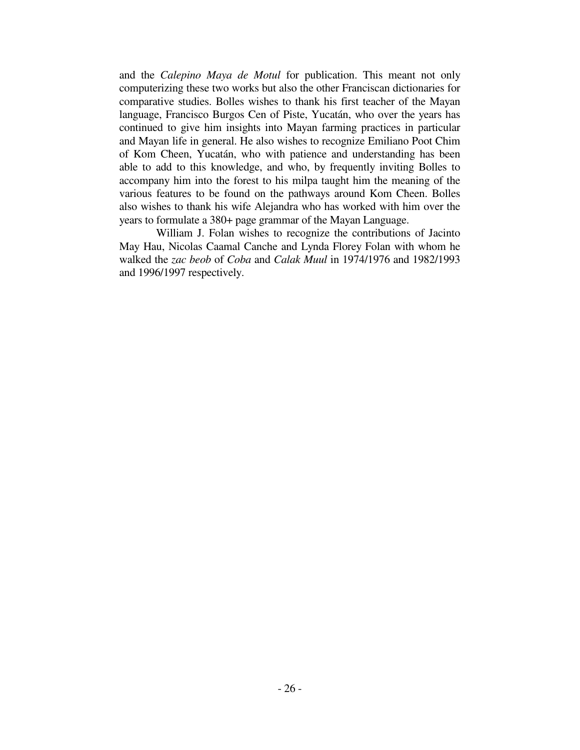and the *Calepino Maya de Motul* for publication. This meant not only computerizing these two works but also the other Franciscan dictionaries for comparative studies. Bolles wishes to thank his first teacher of the Mayan language, Francisco Burgos Cen of Piste, Yucatán, who over the years has continued to give him insights into Mayan farming practices in particular and Mayan life in general. He also wishes to recognize Emiliano Poot Chim of Kom Cħeen, Yucatán, who with patience and understanding has been able to add to this knowledge, and who, by frequently inviting Bolles to accompany him into the forest to his milpa taught him the meaning of the various features to be found on the pathways around Kom Cħeen. Bolles also wishes to thank his wife Alejandra who has worked with him over the years to formulate a 380+ page grammar of the Mayan Language.

 William J. Folan wishes to recognize the contributions of Jacinto May Hau, Nicolas Caamal Canche and Lynda Florey Folan with whom he walked the *zac beob* of *Coba* and *Calak Muul* in 1974/1976 and 1982/1993 and 1996/1997 respectively.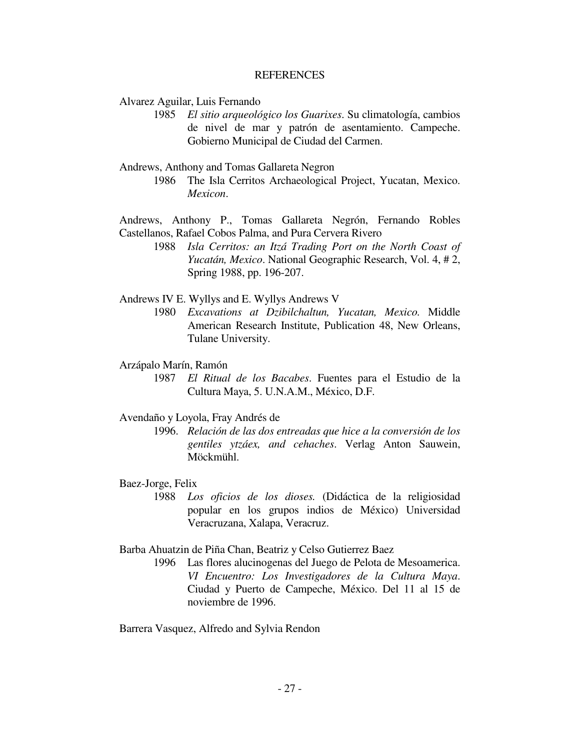## **REFERENCES**

Alvarez Aguilar, Luis Fernando

- 1985 *El sitio arqueológico los Guarixes*. Su climatología, cambios de nivel de mar y patrón de asentamiento. Campeche. Gobierno Municipal de Ciudad del Carmen.
- Andrews, Anthony and Tomas Gallareta Negron
	- 1986 The Isla Cerritos Archaeological Project, Yucatan, Mexico. *Mexicon*.

Andrews, Anthony P., Tomas Gallareta Negrón, Fernando Robles Castellanos, Rafael Cobos Palma, and Pura Cervera Rivero

> 1988 *Isla Cerritos: an Itzá Trading Port on the North Coast of Yucatán, Mexico*. National Geographic Research, Vol. 4, # 2, Spring 1988, pp. 196-207.

Andrews IV E. Wyllys and E. Wyllys Andrews V

 1980 *Excavations at Dzibilchaltun, Yucatan, Mexico.* Middle American Research Institute, Publication 48, New Orleans, Tulane University.

## Arzápalo Marín, Ramón

 1987 *El Ritual de los Bacabes*. Fuentes para el Estudio de la Cultura Maya, 5. U.N.A.M., México, D.F.

#### Avendaño y Loyola, Fray Andrés de

 1996. *Relación de las dos entreadas que hice a la conversión de los gentiles ytzáex, and cehaches*. Verlag Anton Sauwein, Möckmühl.

## Baez-Jorge, Felix

 1988 *Los oficios de los dioses.* (Didáctica de la religiosidad popular en los grupos indios de México) Universidad Veracruzana, Xalapa, Veracruz.

# Barba Ahuatzin de Piña Chan, Beatriz y Celso Gutierrez Baez

 1996 Las flores alucinogenas del Juego de Pelota de Mesoamerica. *VI Encuentro: Los Investigadores de la Cultura Maya*. Ciudad y Puerto de Campeche, México. Del 11 al 15 de noviembre de 1996.

Barrera Vasquez, Alfredo and Sylvia Rendon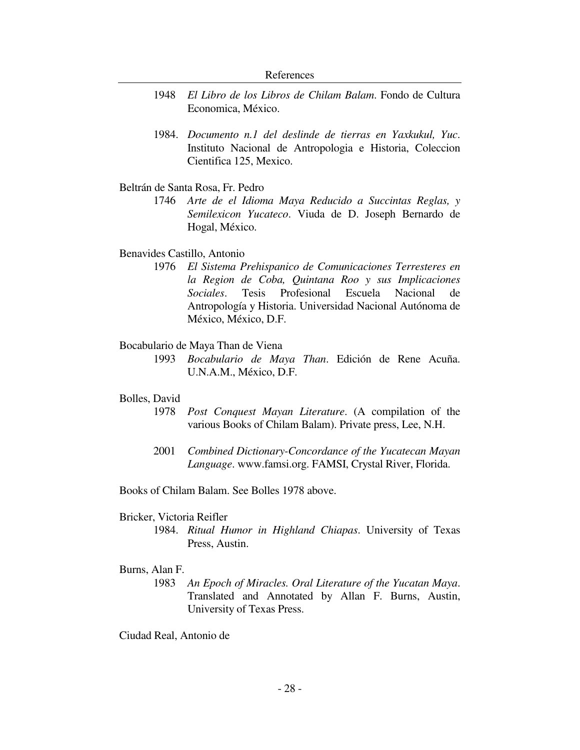- 1948 *El Libro de los Libros de Chilam Balam*. Fondo de Cultura Economica, México.
- 1984. *Documento n.1 del deslinde de tierras en Yaxkukul, Yuc*. Instituto Nacional de Antropologia e Historia, Coleccion Cientifica 125, Mexico.

# Beltrán de Santa Rosa, Fr. Pedro

 1746 *Arte de el Idioma Maya Reducido a Succintas Reglas, y Semilexicon Yucateco*. Viuda de D. Joseph Bernardo de Hogal, México.

## Benavides Castillo, Antonio

 1976 *El Sistema Prehispanico de Comunicaciones Terresteres en la Region de Coba, Quintana Roo y sus Implicaciones Sociales*. Tesis Profesional Escuela Nacional de Antropología y Historia. Universidad Nacional Autónoma de México, México, D.F.

## Bocabulario de Maya Than de Viena

 1993 *Bocabulario de Maya Than*. Edición de Rene Acuña. U.N.A.M., México, D.F.

## Bolles, David

- 1978 *Post Conquest Mayan Literature*. (A compilation of the various Books of Chilam Balam). Private press, Lee, N.H.
- 2001 *Combined Dictionary-Concordance of the Yucatecan Mayan Language*. www.famsi.org. FAMSI, Crystal River, Florida.

Books of Chilam Balam. See Bolles 1978 above.

## Bricker, Victoria Reifler

 1984. *Ritual Humor in Highland Chiapas*. University of Texas Press, Austin.

# Burns, Alan F.

 1983 *An Epoch of Miracles. Oral Literature of the Yucatan Maya*. Translated and Annotated by Allan F. Burns, Austin, University of Texas Press.

Ciudad Real, Antonio de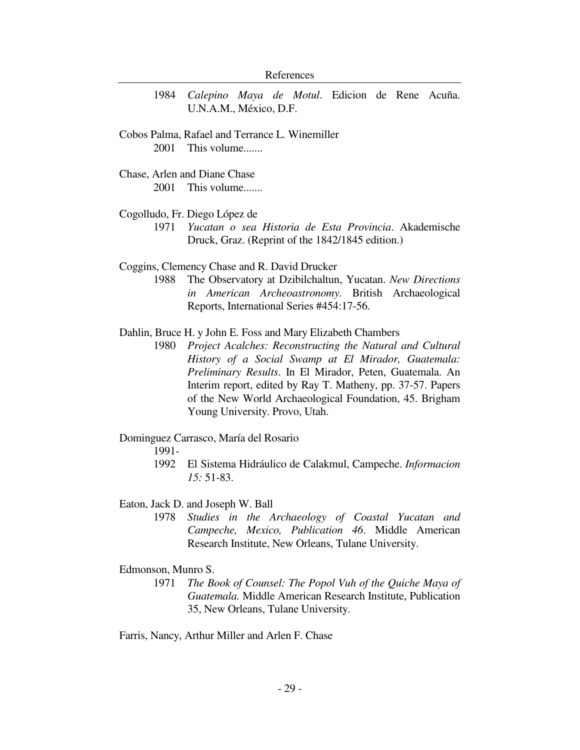1984 *Calepino Maya de Motul*. Edicion de Rene Acuña. U.N.A.M., México, D.F.

Cobos Palma, Rafael and Terrance L. Winemiller 2001 This volume.......

Chase, Arlen and Diane Chase 2001 This volume.......

## Cogolludo, Fr. Diego López de

 1971 *Yucatan o sea Historia de Esta Provincia*. Akademische Druck, Graz. (Reprint of the 1842/1845 edition.)

## Coggins, Clemency Chase and R. David Drucker

 1988 The Observatory at Dzibilchaltun, Yucatan. *New Directions in American Archeoastronomy*. British Archaeological Reports, International Series #454:17-56.

## Dahlin, Bruce H. y John E. Foss and Mary Elizabeth Chambers

 1980 *Project Acalches: Reconstructing the Natural and Cultural History of a Social Swamp at El Mirador, Guatemala: Preliminary Results*. In El Mirador, Peten, Guatemala. An Interim report, edited by Ray T. Matheny, pp. 37-57. Papers of the New World Archaeological Foundation, 45. Brigham Young University. Provo, Utah.

# Dominguez Carrasco, María del Rosario

1991-

 1992 El Sistema Hidráulico de Calakmul, Campeche. *Informacion 15:* 51-83.

#### Eaton, Jack D. and Joseph W. Ball

 1978 *Studies in the Archaeology of Coastal Yucatan and Campeche, Mexico, Publication 46*. Middle American Research Institute, New Orleans, Tulane University.

# Edmonson, Munro S.

 1971 *The Book of Counsel: The Popol Vuh of the Quiche Maya of Guatemala.* Middle American Research Institute, Publication 35, New Orleans, Tulane University.

Farris, Nancy, Arthur Miller and Arlen F. Chase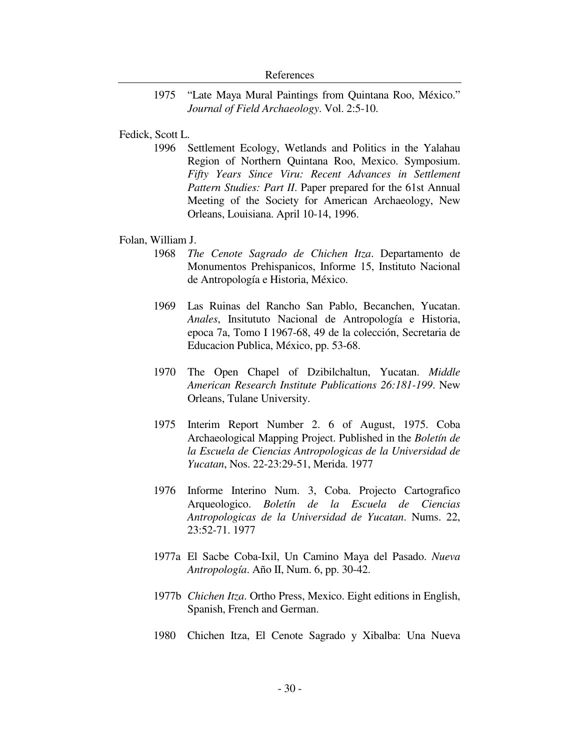1975 "Late Maya Mural Paintings from Quintana Roo, México." *Journal of Field Archaeology*. Vol. 2:5-10.

# Fedick, Scott L.

 1996 Settlement Ecology, Wetlands and Politics in the Yalahau Region of Northern Quintana Roo, Mexico. Symposium. *Fifty Years Since Viru: Recent Advances in Settlement Pattern Studies: Part II*. Paper prepared for the 61st Annual Meeting of the Society for American Archaeology, New Orleans, Louisiana. April 10-14, 1996.

## Folan, William J.

- 1968 *The Cenote Sagrado de Chichen Itza*. Departamento de Monumentos Prehispanicos, Informe 15, Instituto Nacional de Antropología e Historia, México.
- 1969 Las Ruinas del Rancho San Pablo, Becanchen, Yucatan. *Anales*, Insitututo Nacional de Antropología e Historia, epoca 7a, Tomo I 1967-68, 49 de la colección, Secretaria de Educacion Publica, México, pp. 53-68.
- 1970 The Open Chapel of Dzibilchaltun, Yucatan. *Middle American Research Institute Publications 26:181-199*. New Orleans, Tulane University.
- 1975 Interim Report Number 2. 6 of August, 1975. Coba Archaeological Mapping Project. Published in the *Boletín de la Escuela de Ciencias Antropologicas de la Universidad de Yucatan*, Nos. 22-23:29-51, Merida. 1977
- 1976 Informe Interino Num. 3, Coba. Projecto Cartografico Arqueologico. *Boletín de la Escuela de Ciencias Antropologicas de la Universidad de Yucatan*. Nums. 22, 23:52-71. 1977
- 1977a El Sacbe Coba-Ixil, Un Camino Maya del Pasado. *Nueva Antropología*. Año II, Num. 6, pp. 30-42.
- 1977b *Chichen Itza*. Ortho Press, Mexico. Eight editions in English, Spanish, French and German.
- 1980 Chichen Itza, El Cenote Sagrado y Xibalba: Una Nueva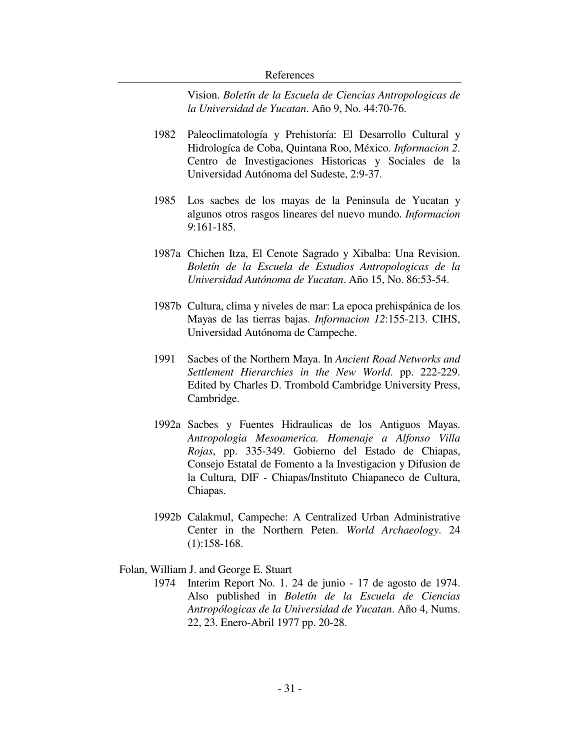Vision. *Boletín de la Escuela de Ciencias Antropologicas de la Universidad de Yucatan*. Año 9, No. 44:70-76.

- 1982 Paleoclimatología y Prehistoría: El Desarrollo Cultural y Hidrologíca de Coba, Quintana Roo, México. *Informacion 2*. Centro de Investigaciones Historicas y Sociales de la Universidad Autónoma del Sudeste, 2:9-37.
- 1985 Los sacbes de los mayas de la Peninsula de Yucatan y algunos otros rasgos lineares del nuevo mundo. *Informacion 9*:161-185.
- 1987a Chichen Itza, El Cenote Sagrado y Xibalba: Una Revision. *Boletín de la Escuela de Estudios Antropologicas de la Universidad Autónoma de Yucatan*. Año 15, No. 86:53-54.
- 1987b Cultura, clima y niveles de mar: La epoca prehispánica de los Mayas de las tierras bajas. *Informacion 12*:155-213. CIHS, Universidad Autónoma de Campeche.
- 1991 Sacbes of the Northern Maya. In *Ancient Road Networks and Settlement Hierarchies in the New World*. pp. 222-229. Edited by Charles D. Trombold Cambridge University Press, Cambridge.
- 1992a Sacbes y Fuentes Hidraulicas de los Antiguos Mayas. *Antropologia Mesoamerica. Homenaje a Alfonso Villa Rojas*, pp. 335-349. Gobierno del Estado de Chiapas, Consejo Estatal de Fomento a la Investigacion y Difusion de la Cultura, DIF - Chiapas/Instituto Chiapaneco de Cultura, Chiapas.
- 1992b Calakmul, Campeche: A Centralized Urban Administrative Center in the Northern Peten. *World Archaeology*. 24 (1):158-168.

## Folan, William J. and George E. Stuart

 1974 Interim Report No. 1. 24 de junio - 17 de agosto de 1974. Also published in *Boletín de la Escuela de Ciencias Antropólogicas de la Universidad de Yucatan*. Año 4, Nums. 22, 23. Enero-Abril 1977 pp. 20-28.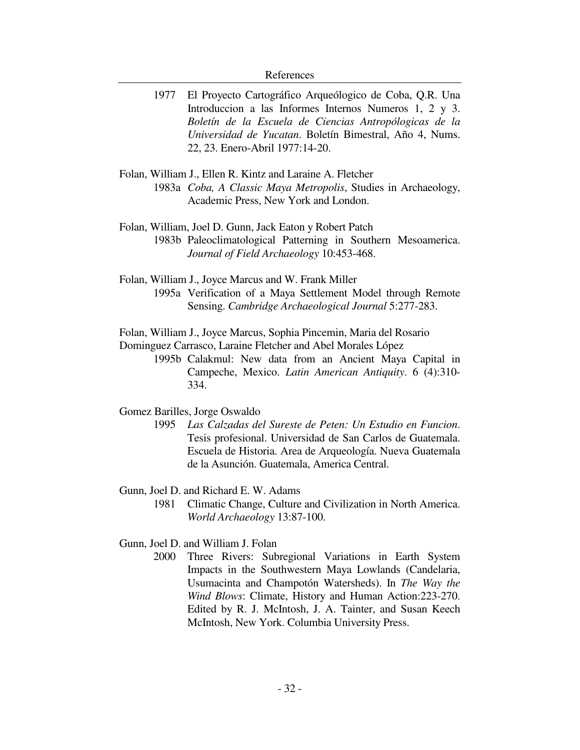- 1977 El Proyecto Cartográfico Arqueólogico de Coba, Q.R. Una Introduccion a las Informes Internos Numeros 1, 2 y 3. *Boletín de la Escuela de Ciencias Antropólogicas de la Universidad de Yucatan*. Boletín Bimestral, Año 4, Nums. 22, 23. Enero-Abril 1977:14-20.
- Folan, William J., Ellen R. Kintz and Laraine A. Fletcher 1983a *Coba, A Classic Maya Metropolis*, Studies in Archaeology, Academic Press, New York and London.
- Folan, William, Joel D. Gunn, Jack Eaton y Robert Patch 1983b Paleoclimatological Patterning in Southern Mesoamerica. *Journal of Field Archaeology* 10:453-468.
- Folan, William J., Joyce Marcus and W. Frank Miller 1995a Verification of a Maya Settlement Model through Remote Sensing. *Cambridge Archaeological Journal* 5:277-283.

Folan, William J., Joyce Marcus, Sophia Pincemin, Maria del Rosario Dominguez Carrasco, Laraine Fletcher and Abel Morales López

> 1995b Calakmul: New data from an Ancient Maya Capital in Campeche, Mexico. *Latin American Antiquity*. 6 (4):310- 334.

## Gomez Barilles, Jorge Oswaldo

 1995 *Las Calzadas del Sureste de Peten: Un Estudio en Funcion*. Tesis profesional. Universidad de San Carlos de Guatemala. Escuela de Historia. Area de Arqueología. Nueva Guatemala de la Asunción. Guatemala, America Central.

## Gunn, Joel D. and Richard E. W. Adams

 1981 Climatic Change, Culture and Civilization in North America. *World Archaeology* 13:87-100.

# Gunn, Joel D. and William J. Folan

 2000 Three Rivers: Subregional Variations in Earth System Impacts in the Southwestern Maya Lowlands (Candelaria, Usumacinta and Champotón Watersheds). In *The Way the Wind Blows*: Climate, History and Human Action:223-270. Edited by R. J. McIntosh, J. A. Tainter, and Susan Keech McIntosh, New York. Columbia University Press.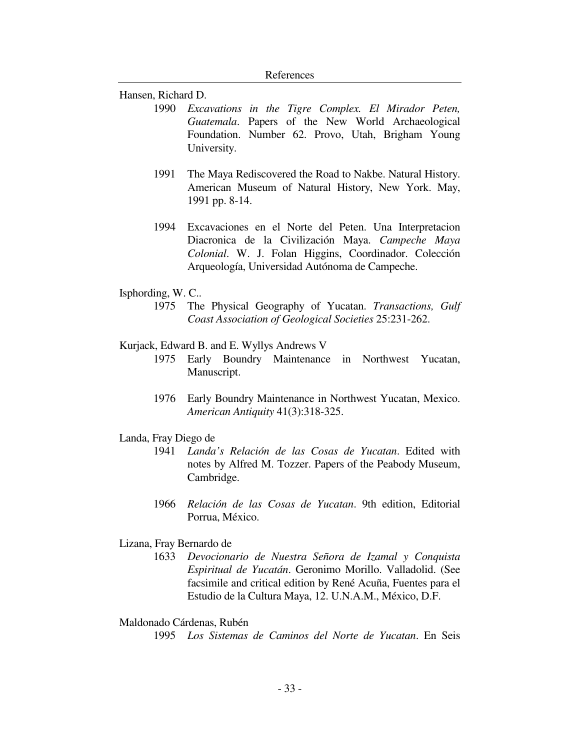Hansen, Richard D.

- 1990 *Excavations in the Tigre Complex. El Mirador Peten, Guatemala*. Papers of the New World Archaeological Foundation. Number 62. Provo, Utah, Brigham Young University.
- 1991 The Maya Rediscovered the Road to Nakbe. Natural History. American Museum of Natural History, New York. May, 1991 pp. 8-14.
- 1994 Excavaciones en el Norte del Peten. Una Interpretacion Diacronica de la Civilización Maya. *Campeche Maya Colonial*. W. J. Folan Higgins, Coordinador. Colección Arqueología, Universidad Autónoma de Campeche.
- Isphording, W. C..
	- 1975 The Physical Geography of Yucatan. *Transactions, Gulf Coast Association of Geological Societies* 25:231-262.
- Kurjack, Edward B. and E. Wyllys Andrews V
	- 1975 Early Boundry Maintenance in Northwest Yucatan, Manuscript.
	- 1976 Early Boundry Maintenance in Northwest Yucatan, Mexico. *American Antiquity* 41(3):318-325.
- Landa, Fray Diego de
	- 1941 *Landa's Relación de las Cosas de Yucatan*. Edited with notes by Alfred M. Tozzer. Papers of the Peabody Museum, Cambridge.
	- 1966 *Relación de las Cosas de Yucatan*. 9th edition, Editorial Porrua, México.
- Lizana, Fray Bernardo de
	- 1633 *Devocionario de Nuestra Señora de Izamal y Conquista Espiritual de Yucatán*. Geronimo Morillo. Valladolid. (See facsimile and critical edition by René Acuña, Fuentes para el Estudio de la Cultura Maya, 12. U.N.A.M., México, D.F.

## Maldonado Cárdenas, Rubén

1995 *Los Sistemas de Caminos del Norte de Yucatan*. En Seis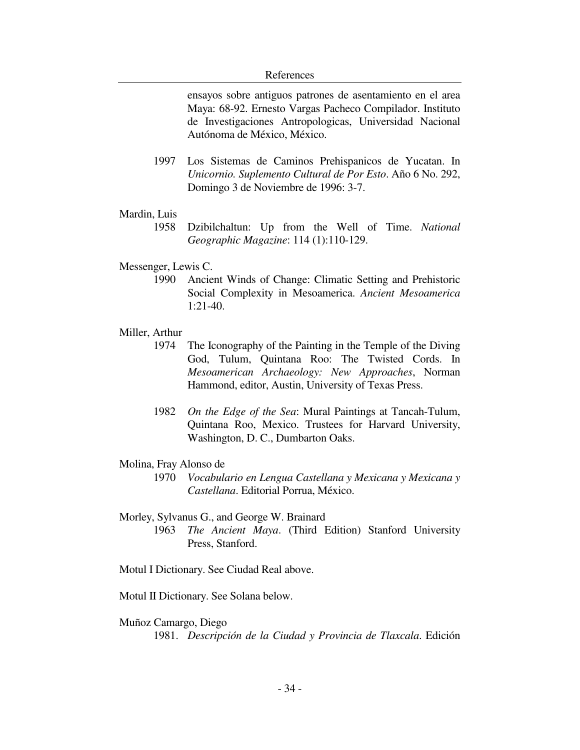ensayos sobre antiguos patrones de asentamiento en el area Maya: 68-92. Ernesto Vargas Pacheco Compilador. Instituto de Investigaciones Antropologicas, Universidad Nacional Autónoma de México, México.

- 1997 Los Sistemas de Caminos Prehispanicos de Yucatan. In *Unicornio. Suplemento Cultural de Por Esto*. Año 6 No. 292, Domingo 3 de Noviembre de 1996: 3-7.
- Mardin, Luis
	- 1958 Dzibilchaltun: Up from the Well of Time. *National Geographic Magazine*: 114 (1):110-129.
- Messenger, Lewis C.
	- 1990 Ancient Winds of Change: Climatic Setting and Prehistoric Social Complexity in Mesoamerica. *Ancient Mesoamerica* 1:21-40.
- Miller, Arthur
	- 1974 The Iconography of the Painting in the Temple of the Diving God, Tulum, Quintana Roo: The Twisted Cords. In *Mesoamerican Archaeology: New Approaches*, Norman Hammond, editor, Austin, University of Texas Press.
	- 1982 *On the Edge of the Sea*: Mural Paintings at Tancah-Tulum, Quintana Roo, Mexico. Trustees for Harvard University, Washington, D. C., Dumbarton Oaks.
- Molina, Fray Alonso de
	- 1970 *Vocabulario en Lengua Castellana y Mexicana y Mexicana y Castellana*. Editorial Porrua, México.
- Morley, Sylvanus G., and George W. Brainard
	- 1963 *The Ancient Maya*. (Third Edition) Stanford University Press, Stanford.
- Motul I Dictionary. See Ciudad Real above.
- Motul II Dictionary. See Solana below.
- Muñoz Camargo, Diego 1981. *Descripción de la Ciudad y Provincia de Tlaxcala*. Edición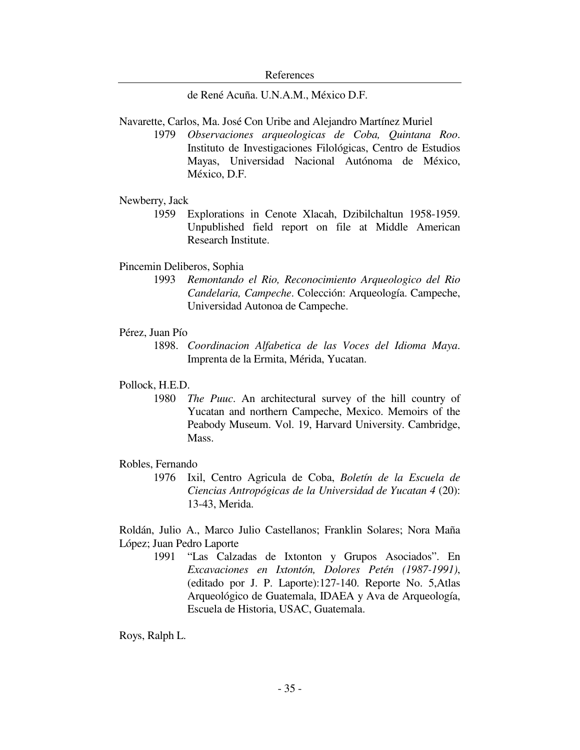de René Acuña. U.N.A.M., México D.F.

Navarette, Carlos, Ma. José Con Uribe and Alejandro Martínez Muriel

 1979 *Observaciones arqueologicas de Coba, Quintana Roo*. Instituto de Investigaciones Filológicas, Centro de Estudios Mayas, Universidad Nacional Autónoma de México, México, D.F.

## Newberry, Jack

 1959 Explorations in Cenote Xlacah, Dzibilchaltun 1958-1959. Unpublished field report on file at Middle American Research Institute.

## Pincemin Deliberos, Sophia

 1993 *Remontando el Rio, Reconocimiento Arqueologico del Rio Candelaria, Campeche*. Colección: Arqueología. Campeche, Universidad Autonoa de Campeche.

#### Pérez, Juan Pío

 1898. *Coordinacion Alfabetica de las Voces del Idioma Maya*. Imprenta de la Ermita, Mérida, Yucatan.

# Pollock, H.E.D.

 1980 *The Puuc*. An architectural survey of the hill country of Yucatan and northern Campeche, Mexico. Memoirs of the Peabody Museum. Vol. 19, Harvard University. Cambridge, Mass.

# Robles, Fernando

 1976 Ixil, Centro Agricula de Coba, *Boletín de la Escuela de Ciencias Antropógicas de la Universidad de Yucatan 4* (20): 13-43, Merida.

Roldán, Julio A., Marco Julio Castellanos; Franklin Solares; Nora Maña López; Juan Pedro Laporte

> 1991 "Las Calzadas de Ixtonton y Grupos Asociados". En *Excavaciones en Ixtontón, Dolores Petén (1987-1991)*, (editado por J. P. Laporte):127-140. Reporte No. 5,Atlas Arqueológico de Guatemala, IDAEA y Ava de Arqueología, Escuela de Historia, USAC, Guatemala.

Roys, Ralph L.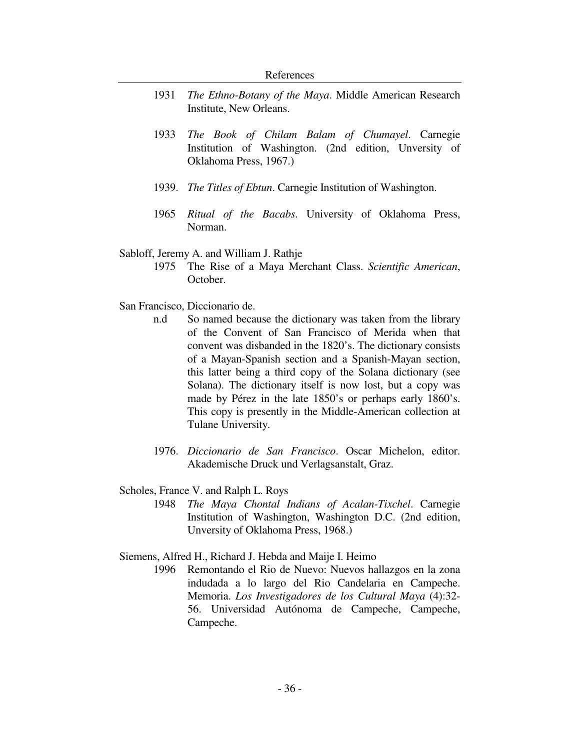- 1931 *The Ethno-Botany of the Maya*. Middle American Research Institute, New Orleans.
- 1933 *The Book of Chilam Balam of Chumayel*. Carnegie Institution of Washington. (2nd edition, Unversity of Oklahoma Press, 1967.)
- 1939. *The Titles of Ebtun*. Carnegie Institution of Washington.
- 1965 *Ritual of the Bacabs*. University of Oklahoma Press, Norman.

## Sabloff, Jeremy A. and William J. Rathje

- 1975 The Rise of a Maya Merchant Class. *Scientific American*, October.
- San Francisco, Diccionario de.
	- n.d So named because the dictionary was taken from the library of the Convent of San Francisco of Merida when that convent was disbanded in the 1820's. The dictionary consists of a Mayan-Spanish section and a Spanish-Mayan section, this latter being a third copy of the Solana dictionary (see Solana). The dictionary itself is now lost, but a copy was made by Pérez in the late 1850's or perhaps early 1860's. This copy is presently in the Middle-American collection at Tulane University.
	- 1976. *Diccionario de San Francisco*. Oscar Michelon, editor. Akademische Druck und Verlagsanstalt, Graz.
- Scholes, France V. and Ralph L. Roys
	- 1948 *The Maya Chontal Indians of Acalan-Tixchel*. Carnegie Institution of Washington, Washington D.C. (2nd edition, Unversity of Oklahoma Press, 1968.)

Siemens, Alfred H., Richard J. Hebda and Maije I. Heimo

 1996 Remontando el Rio de Nuevo: Nuevos hallazgos en la zona indudada a lo largo del Rio Candelaria en Campeche. Memoria. *Los Investigadores de los Cultural Maya* (4):32- 56. Universidad Autónoma de Campeche, Campeche, Campeche.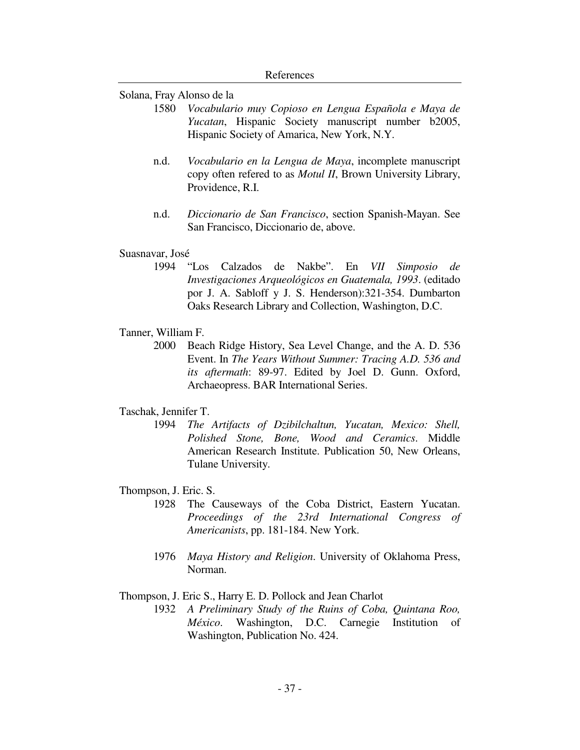#### Solana, Fray Alonso de la

- 1580 *Vocabulario muy Copioso en Lengua Española e Maya de Yucatan*, Hispanic Society manuscript number b2005, Hispanic Society of Amarica, New York, N.Y.
- n.d. *Vocabulario en la Lengua de Maya*, incomplete manuscript copy often refered to as *Motul II*, Brown University Library, Providence, R.I.
- n.d. *Diccionario de San Francisco*, section Spanish-Mayan. See San Francisco, Diccionario de, above.

#### Suasnavar, José

- 1994 "Los Calzados de Nakbe". En *VII Simposio de Investigaciones Arqueológicos en Guatemala, 1993*. (editado por J. A. Sabloff y J. S. Henderson):321-354. Dumbarton Oaks Research Library and Collection, Washington, D.C.
- Tanner, William F.
	- 2000 Beach Ridge History, Sea Level Change, and the A. D. 536 Event. In *The Years Without Summer: Tracing A.D. 536 and its aftermath*: 89-97. Edited by Joel D. Gunn. Oxford, Archaeopress. BAR International Series.

## Taschak, Jennifer T.

 1994 *The Artifacts of Dzibilchaltun, Yucatan, Mexico: Shell, Polished Stone, Bone, Wood and Ceramics*. Middle American Research Institute. Publication 50, New Orleans, Tulane University.

# Thompson, J. Eric. S.

- 1928 The Causeways of the Coba District, Eastern Yucatan. *Proceedings of the 23rd International Congress of Americanists*, pp. 181-184. New York.
- 1976 *Maya History and Religion*. University of Oklahoma Press, Norman.

# Thompson, J. Eric S., Harry E. D. Pollock and Jean Charlot

 1932 *A Preliminary Study of the Ruins of Coba, Quintana Roo, México*. Washington, D.C. Carnegie Institution of Washington, Publication No. 424.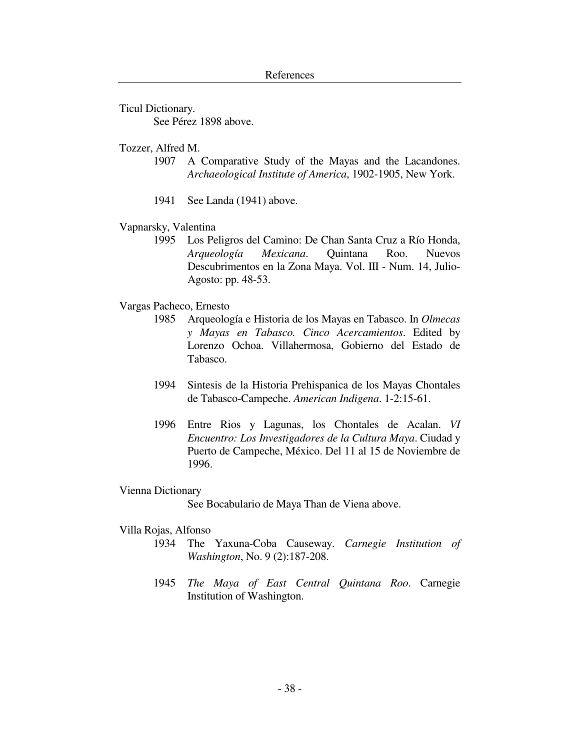Ticul Dictionary. See Pérez 1898 above.

Tozzer, Alfred M.

- 1907 A Comparative Study of the Mayas and the Lacandones. *Archaeological Institute of America*, 1902-1905, New York.
- 1941 See Landa (1941) above.
- Vapnarsky, Valentina
	- 1995 Los Peligros del Camino: De Chan Santa Cruz a Río Honda, *Arqueología Mexicana*. Quintana Roo. Nuevos Descubrimentos en la Zona Maya. Vol. III - Num. 14, Julio-Agosto: pp. 48-53.

## Vargas Pacheco, Ernesto

- 1985 Arqueología e Historia de los Mayas en Tabasco. In *Olmecas y Mayas en Tabasco. Cinco Acercamientos*. Edited by Lorenzo Ochoa. Villahermosa, Gobierno del Estado de Tabasco.
- 1994 Sintesis de la Historia Prehispanica de los Mayas Chontales de Tabasco-Campeche. *American Indigena*. 1-2:15-61.
- 1996 Entre Rios y Lagunas, los Chontales de Acalan. *VI Encuentro: Los Investigadores de la Cultura Maya*. Ciudad y Puerto de Campeche, México. Del 11 al 15 de Noviembre de 1996.

## Vienna Dictionary

See Bocabulario de Maya Than de Viena above.

# Villa Rojas, Alfonso

- 1934 The Yaxuna-Coba Causeway. *Carnegie Institution of Washington*, No. 9 (2):187-208.
- 1945 *The Maya of East Central Quintana Roo*. Carnegie Institution of Washington.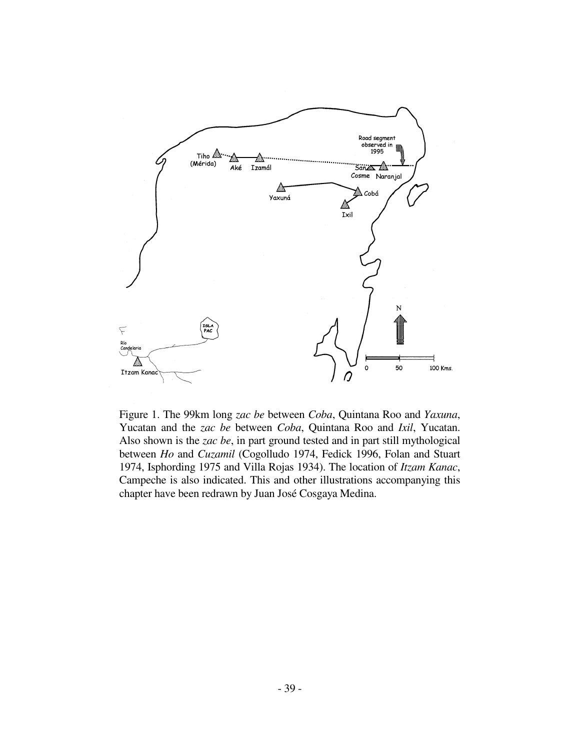

Figure 1. The 99km long *zac be* between *Coba*, Quintana Roo and *Yaxuna*, Yucatan and the *zac be* between *Coba*, Quintana Roo and *Ixil*, Yucatan. Also shown is the *zac be*, in part ground tested and in part still mythological between *Ho* and *Cuzamil* (Cogolludo 1974, Fedick 1996, Folan and Stuart 1974, Isphording 1975 and Villa Rojas 1934). The location of *Itzam Kanac*, Campeche is also indicated. This and other illustrations accompanying this chapter have been redrawn by Juan José Cosgaya Medina.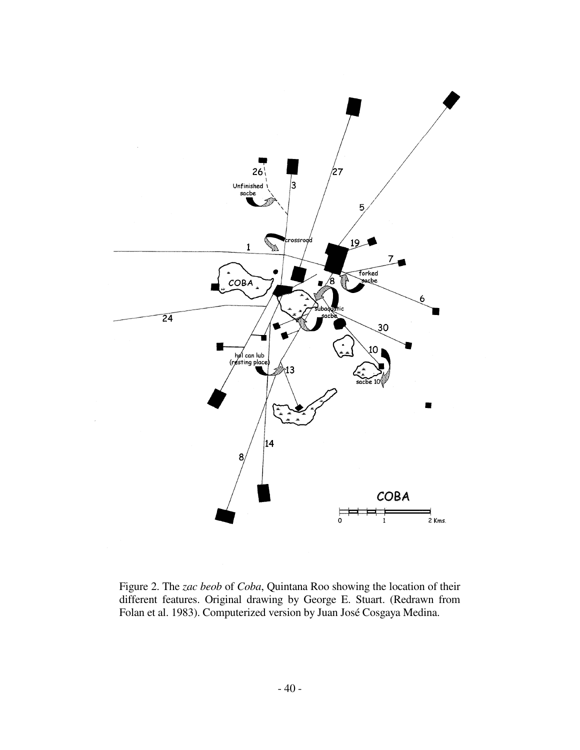

Figure 2. The *zac beob* of *Coba*, Quintana Roo showing the location of their different features. Original drawing by George E. Stuart. (Redrawn from Folan et al. 1983). Computerized version by Juan José Cosgaya Medina.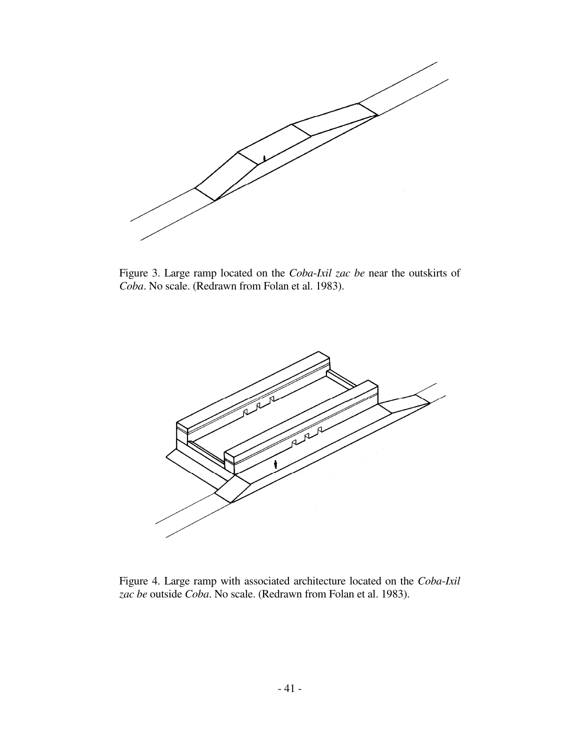

Figure 3. Large ramp located on the *Coba*-*Ixil zac be* near the outskirts of *Coba*. No scale. (Redrawn from Folan et al. 1983).



Figure 4. Large ramp with associated architecture located on the *Coba*-*Ixil zac be* outside *Coba*. No scale. (Redrawn from Folan et al. 1983).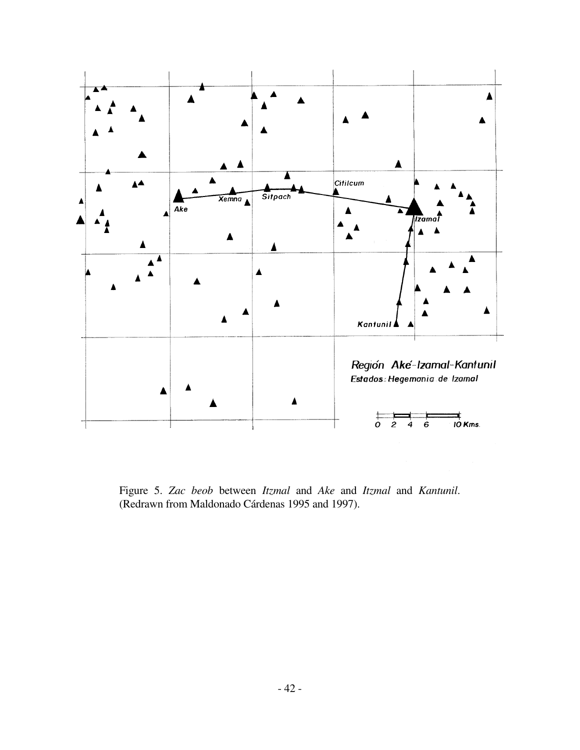

Figure 5. *Zac beob* between *Itzmal* and *Ake* and *Itzmal* and *Kantunil*. (Redrawn from Maldonado Cárdenas 1995 and 1997).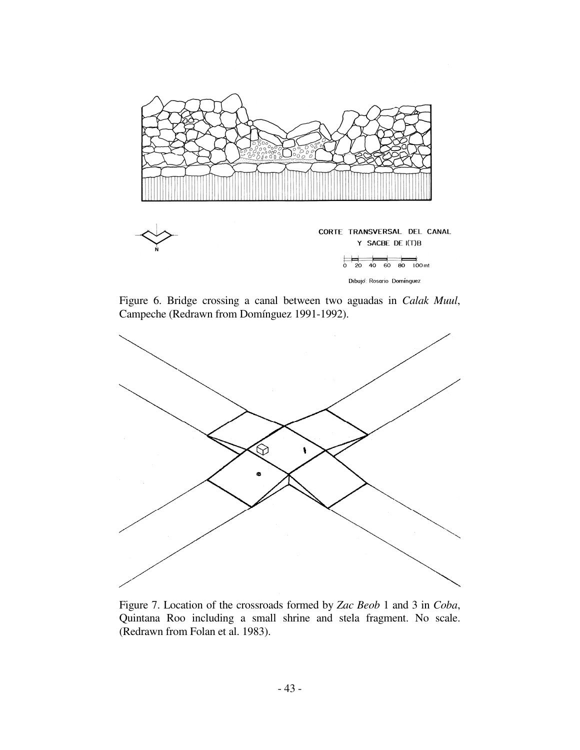

Figure 6. Bridge crossing a canal between two aguadas in *Calak Muul*, Campeche (Redrawn from Domínguez 1991-1992).



Figure 7. Location of the crossroads formed by *Zac Beob* 1 and 3 in *Coba*, Quintana Roo including a small shrine and stela fragment. No scale. (Redrawn from Folan et al. 1983).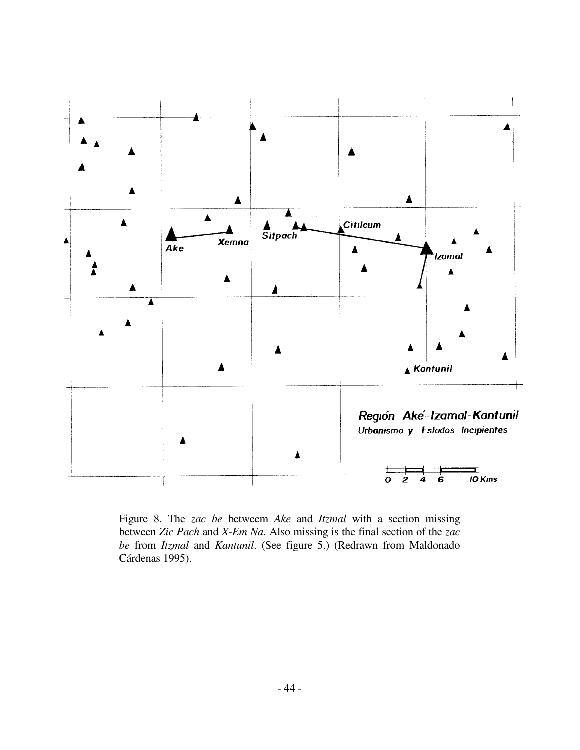

Figure 8. The *zac be* betweem *Ake* and *Itzmal* with a section missing between *Zic Pach* and *X-Em Na*. Also missing is the final section of the *zac be* from *Itzmal* and *Kantunil*. (See figure 5.) (Redrawn from Maldonado Cárdenas 1995).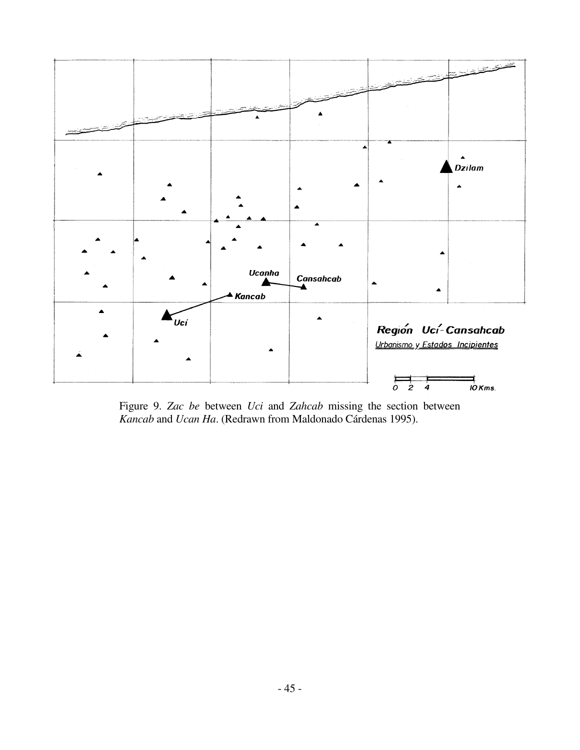

Figure 9. *Zac be* between *Uci* and *Zahcab* missing the section between *Kancab* and *Ucan Ha*. (Redrawn from Maldonado Cárdenas 1995).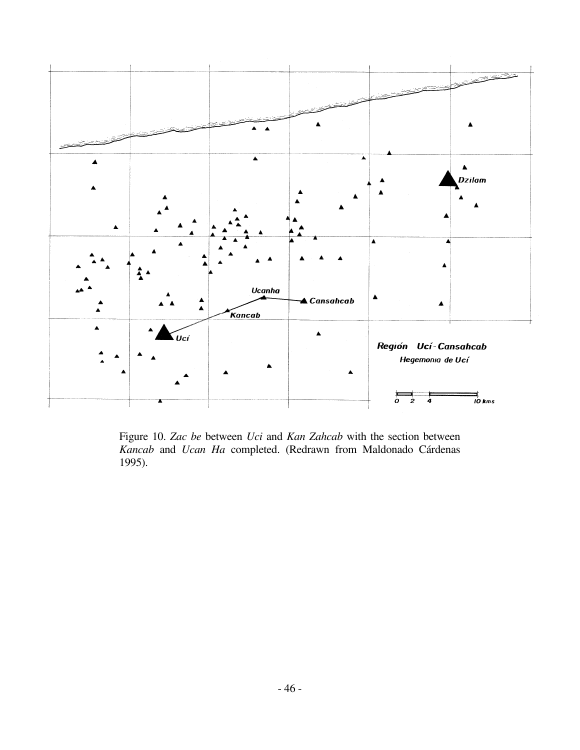

Figure 10. *Zac be* between *Uci* and *Kan Zahcab* with the section between *Kancab* and *Ucan Ha* completed. (Redrawn from Maldonado Cárdenas 1995).